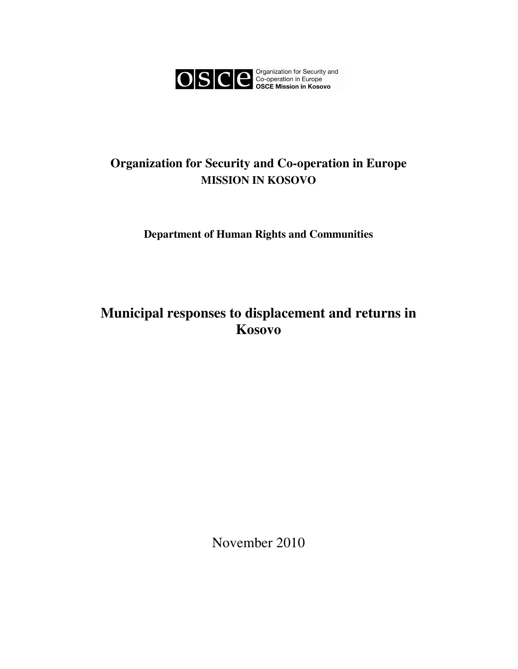

# **Organization for Security and Co-operation in Europe MISSION IN KOSOVO**

**Department of Human Rights and Communities** 

**Municipal responses to displacement and returns in Kosovo** 

November 2010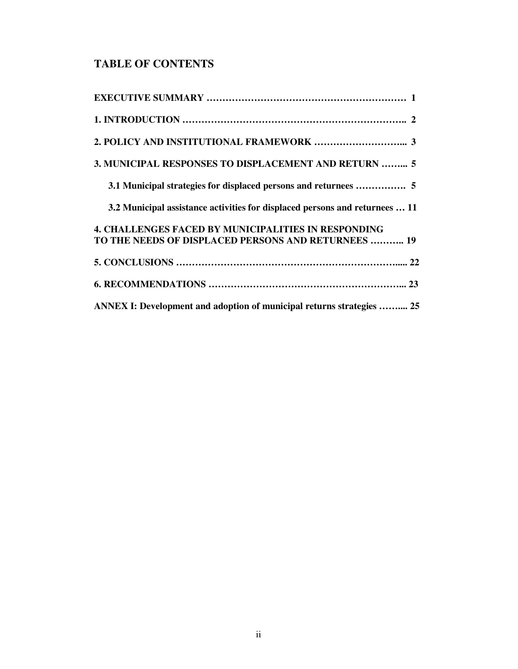# **TABLE OF CONTENTS**

| 3. MUNICIPAL RESPONSES TO DISPLACEMENT AND RETURN  5                        |
|-----------------------------------------------------------------------------|
| 3.1 Municipal strategies for displaced persons and returnees  5             |
| 3.2 Municipal assistance activities for displaced persons and returnees  11 |
| <b>4. CHALLENGES FACED BY MUNICIPALITIES IN RESPONDING</b>                  |
| TO THE NEEDS OF DISPLACED PERSONS AND RETURNEES  19                         |
|                                                                             |
|                                                                             |
| ANNEX I: Development and adoption of municipal returns strategies  25       |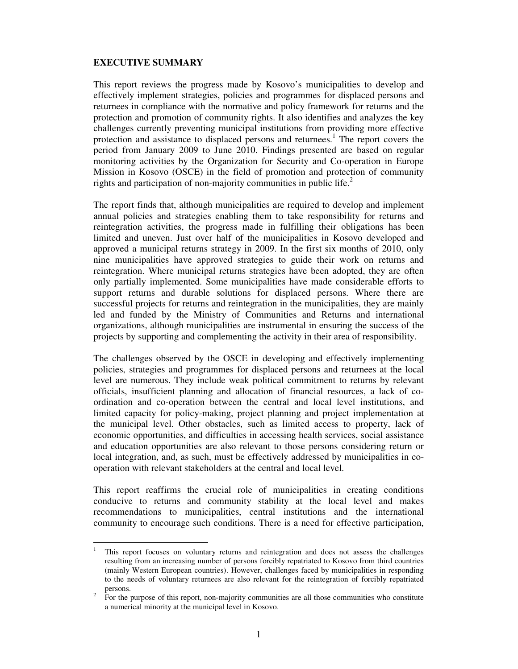## **EXECUTIVE SUMMARY**

-

This report reviews the progress made by Kosovo's municipalities to develop and effectively implement strategies, policies and programmes for displaced persons and returnees in compliance with the normative and policy framework for returns and the protection and promotion of community rights. It also identifies and analyzes the key challenges currently preventing municipal institutions from providing more effective protection and assistance to displaced persons and returnees.<sup>1</sup> The report covers the period from January 2009 to June 2010. Findings presented are based on regular monitoring activities by the Organization for Security and Co-operation in Europe Mission in Kosovo (OSCE) in the field of promotion and protection of community rights and participation of non-majority communities in public life. $^2$ 

The report finds that, although municipalities are required to develop and implement annual policies and strategies enabling them to take responsibility for returns and reintegration activities, the progress made in fulfilling their obligations has been limited and uneven. Just over half of the municipalities in Kosovo developed and approved a municipal returns strategy in 2009. In the first six months of 2010, only nine municipalities have approved strategies to guide their work on returns and reintegration. Where municipal returns strategies have been adopted, they are often only partially implemented. Some municipalities have made considerable efforts to support returns and durable solutions for displaced persons. Where there are successful projects for returns and reintegration in the municipalities, they are mainly led and funded by the Ministry of Communities and Returns and international organizations, although municipalities are instrumental in ensuring the success of the projects by supporting and complementing the activity in their area of responsibility.

The challenges observed by the OSCE in developing and effectively implementing policies, strategies and programmes for displaced persons and returnees at the local level are numerous. They include weak political commitment to returns by relevant officials, insufficient planning and allocation of financial resources, a lack of coordination and co-operation between the central and local level institutions, and limited capacity for policy-making, project planning and project implementation at the municipal level. Other obstacles, such as limited access to property, lack of economic opportunities, and difficulties in accessing health services, social assistance and education opportunities are also relevant to those persons considering return or local integration, and, as such, must be effectively addressed by municipalities in cooperation with relevant stakeholders at the central and local level.

This report reaffirms the crucial role of municipalities in creating conditions conducive to returns and community stability at the local level and makes recommendations to municipalities, central institutions and the international community to encourage such conditions. There is a need for effective participation,

<sup>1</sup> This report focuses on voluntary returns and reintegration and does not assess the challenges resulting from an increasing number of persons forcibly repatriated to Kosovo from third countries (mainly Western European countries). However, challenges faced by municipalities in responding to the needs of voluntary returnees are also relevant for the reintegration of forcibly repatriated persons.

<sup>2</sup> For the purpose of this report, non-majority communities are all those communities who constitute a numerical minority at the municipal level in Kosovo.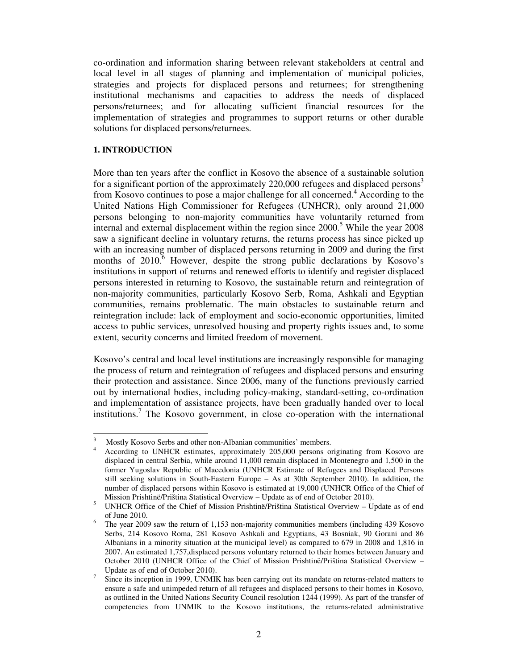co-ordination and information sharing between relevant stakeholders at central and local level in all stages of planning and implementation of municipal policies, strategies and projects for displaced persons and returnees; for strengthening institutional mechanisms and capacities to address the needs of displaced persons/returnees; and for allocating sufficient financial resources for the implementation of strategies and programmes to support returns or other durable solutions for displaced persons/returnees.

#### **1. INTRODUCTION**

-

More than ten years after the conflict in Kosovo the absence of a sustainable solution for a significant portion of the approximately 220,000 refugees and displaced persons<sup>3</sup> from Kosovo continues to pose a major challenge for all concerned.<sup>4</sup> According to the United Nations High Commissioner for Refugees (UNHCR), only around 21,000 persons belonging to non-majority communities have voluntarily returned from internal and external displacement within the region since  $2000$ .<sup>5</sup> While the year  $2008$ saw a significant decline in voluntary returns, the returns process has since picked up with an increasing number of displaced persons returning in 2009 and during the first months of  $2010$ <sup>6</sup> However, despite the strong public declarations by Kosovo's institutions in support of returns and renewed efforts to identify and register displaced persons interested in returning to Kosovo, the sustainable return and reintegration of non-majority communities, particularly Kosovo Serb, Roma, Ashkali and Egyptian communities, remains problematic. The main obstacles to sustainable return and reintegration include: lack of employment and socio-economic opportunities, limited access to public services, unresolved housing and property rights issues and, to some extent, security concerns and limited freedom of movement.

Kosovo's central and local level institutions are increasingly responsible for managing the process of return and reintegration of refugees and displaced persons and ensuring their protection and assistance. Since 2006, many of the functions previously carried out by international bodies, including policy-making, standard-setting, co-ordination and implementation of assistance projects, have been gradually handed over to local institutions.<sup>7</sup> The Kosovo government, in close co-operation with the international

<sup>3</sup> Mostly Kosovo Serbs and other non-Albanian communities' members.

<sup>4</sup> According to UNHCR estimates, approximately 205,000 persons originating from Kosovo are displaced in central Serbia, while around 11,000 remain displaced in Montenegro and 1,500 in the former Yugoslav Republic of Macedonia (UNHCR Estimate of Refugees and Displaced Persons still seeking solutions in South-Eastern Europe – As at 30th September 2010). In addition, the number of displaced persons within Kosovo is estimated at 19,000 (UNHCR Office of the Chief of Mission Prishtinë/Priština Statistical Overview – Update as of end of October 2010).

<sup>5</sup> UNHCR Office of the Chief of Mission Prishtinë/Priština Statistical Overview – Update as of end of June 2010.

<sup>6</sup> The year 2009 saw the return of 1,153 non-majority communities members (including 439 Kosovo Serbs, 214 Kosovo Roma, 281 Kosovo Ashkali and Egyptians, 43 Bosniak, 90 Gorani and 86 Albanians in a minority situation at the municipal level) as compared to 679 in 2008 and 1,816 in 2007. An estimated 1,757,displaced persons voluntary returned to their homes between January and October 2010 (UNHCR Office of the Chief of Mission Prishtinë/Priština Statistical Overview – Update as of end of October 2010).

<sup>7</sup> Since its inception in 1999, UNMIK has been carrying out its mandate on returns-related matters to ensure a safe and unimpeded return of all refugees and displaced persons to their homes in Kosovo, as outlined in the United Nations Security Council resolution 1244 (1999). As part of the transfer of competencies from UNMIK to the Kosovo institutions, the returns-related administrative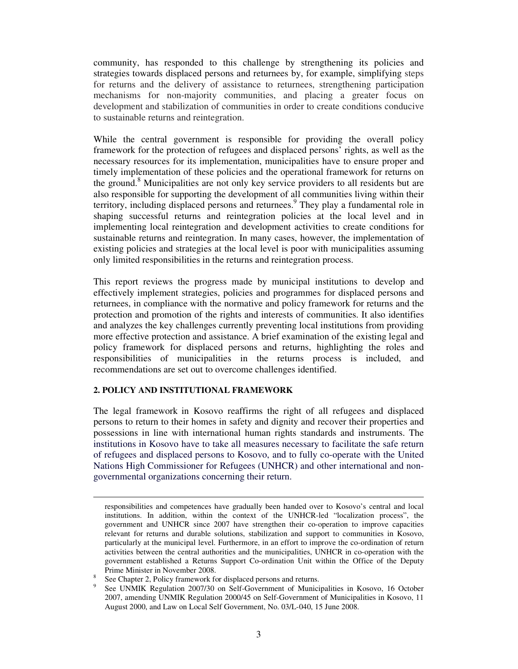community, has responded to this challenge by strengthening its policies and strategies towards displaced persons and returnees by, for example, simplifying steps for returns and the delivery of assistance to returnees, strengthening participation mechanisms for non-majority communities, and placing a greater focus on development and stabilization of communities in order to create conditions conducive to sustainable returns and reintegration.

While the central government is responsible for providing the overall policy framework for the protection of refugees and displaced persons' rights, as well as the necessary resources for its implementation, municipalities have to ensure proper and timely implementation of these policies and the operational framework for returns on the ground.<sup>8</sup> Municipalities are not only key service providers to all residents but are also responsible for supporting the development of all communities living within their territory, including displaced persons and returnees.<sup>9</sup> They play a fundamental role in shaping successful returns and reintegration policies at the local level and in implementing local reintegration and development activities to create conditions for sustainable returns and reintegration. In many cases, however, the implementation of existing policies and strategies at the local level is poor with municipalities assuming only limited responsibilities in the returns and reintegration process.

This report reviews the progress made by municipal institutions to develop and effectively implement strategies, policies and programmes for displaced persons and returnees, in compliance with the normative and policy framework for returns and the protection and promotion of the rights and interests of communities. It also identifies and analyzes the key challenges currently preventing local institutions from providing more effective protection and assistance. A brief examination of the existing legal and policy framework for displaced persons and returns, highlighting the roles and responsibilities of municipalities in the returns process is included, and recommendations are set out to overcome challenges identified.

## **2. POLICY AND INSTITUTIONAL FRAMEWORK**

-

The legal framework in Kosovo reaffirms the right of all refugees and displaced persons to return to their homes in safety and dignity and recover their properties and possessions in line with international human rights standards and instruments. The institutions in Kosovo have to take all measures necessary to facilitate the safe return of refugees and displaced persons to Kosovo, and to fully co-operate with the United Nations High Commissioner for Refugees (UNHCR) and other international and nongovernmental organizations concerning their return.

responsibilities and competences have gradually been handed over to Kosovo's central and local institutions. In addition, within the context of the UNHCR-led "localization process", the government and UNHCR since 2007 have strengthen their co-operation to improve capacities relevant for returns and durable solutions, stabilization and support to communities in Kosovo, particularly at the municipal level. Furthermore, in an effort to improve the co-ordination of return activities between the central authorities and the municipalities, UNHCR in co-operation with the government established a Returns Support Co-ordination Unit within the Office of the Deputy Prime Minister in November 2008.

<sup>&</sup>lt;sup>8</sup> See Chapter 2, Policy framework for displaced persons and returns.

<sup>9</sup>See UNMIK Regulation 2007/30 on Self-Government of Municipalities in Kosovo, 16 October 2007, amending UNMIK Regulation 2000/45 on Self-Government of Municipalities in Kosovo, 11 August 2000, and Law on Local Self Government, No. 03/L-040, 15 June 2008.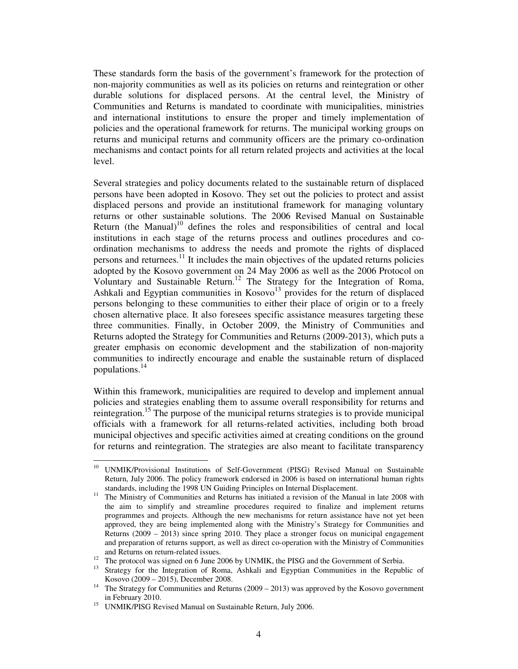These standards form the basis of the government's framework for the protection of non-majority communities as well as its policies on returns and reintegration or other durable solutions for displaced persons. At the central level, the Ministry of Communities and Returns is mandated to coordinate with municipalities, ministries and international institutions to ensure the proper and timely implementation of policies and the operational framework for returns. The municipal working groups on returns and municipal returns and community officers are the primary co-ordination mechanisms and contact points for all return related projects and activities at the local level.

Several strategies and policy documents related to the sustainable return of displaced persons have been adopted in Kosovo. They set out the policies to protect and assist displaced persons and provide an institutional framework for managing voluntary returns or other sustainable solutions. The 2006 Revised Manual on Sustainable Return (the Manual)<sup>10</sup> defines the roles and responsibilities of central and local institutions in each stage of the returns process and outlines procedures and coordination mechanisms to address the needs and promote the rights of displaced persons and returnees. $^{11}$  It includes the main objectives of the updated returns policies adopted by the Kosovo government on 24 May 2006 as well as the 2006 Protocol on Voluntary and Sustainable Return.<sup>12</sup> The Strategy for the Integration of Roma, Ashkali and Egyptian communities in  $Kosovo<sup>13</sup>$  provides for the return of displaced persons belonging to these communities to either their place of origin or to a freely chosen alternative place. It also foresees specific assistance measures targeting these three communities. Finally, in October 2009, the Ministry of Communities and Returns adopted the Strategy for Communities and Returns (2009-2013), which puts a greater emphasis on economic development and the stabilization of non-majority communities to indirectly encourage and enable the sustainable return of displaced populations.<sup>14</sup>

Within this framework, municipalities are required to develop and implement annual policies and strategies enabling them to assume overall responsibility for returns and reintegration.<sup>15</sup> The purpose of the municipal returns strategies is to provide municipal officials with a framework for all returns-related activities, including both broad municipal objectives and specific activities aimed at creating conditions on the ground for returns and reintegration. The strategies are also meant to facilitate transparency

-

<sup>&</sup>lt;sup>10</sup> UNMIK/Provisional Institutions of Self-Government (PISG) Revised Manual on Sustainable Return, July 2006. The policy framework endorsed in 2006 is based on international human rights standards, including the 1998 UN Guiding Principles on Internal Displacement.

<sup>&</sup>lt;sup>11</sup> The Ministry of Communities and Returns has initiated a revision of the Manual in late 2008 with the aim to simplify and streamline procedures required to finalize and implement returns programmes and projects. Although the new mechanisms for return assistance have not yet been approved, they are being implemented along with the Ministry's Strategy for Communities and Returns (2009 – 2013) since spring 2010. They place a stronger focus on municipal engagement and preparation of returns support, as well as direct co-operation with the Ministry of Communities and Returns on return-related issues.

<sup>&</sup>lt;sup>12</sup> The protocol was signed on 6 June 2006 by UNMIK, the PISG and the Government of Serbia.

<sup>&</sup>lt;sup>13</sup> Strategy for the Integration of Roma, Ashkali and Egyptian Communities in the Republic of Kosovo (2009 – 2015), December 2008.

<sup>&</sup>lt;sup>14</sup> The Strategy for Communities and Returns (2009 – 2013) was approved by the Kosovo government in February 2010.

<sup>&</sup>lt;sup>15</sup> UNMIK/PISG Revised Manual on Sustainable Return, July 2006.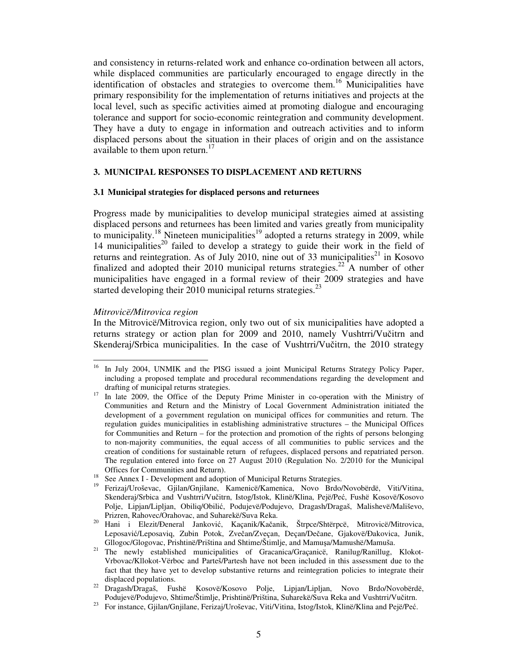and consistency in returns-related work and enhance co-ordination between all actors, while displaced communities are particularly encouraged to engage directly in the identification of obstacles and strategies to overcome them.<sup>16</sup> Municipalities have primary responsibility for the implementation of returns initiatives and projects at the local level, such as specific activities aimed at promoting dialogue and encouraging tolerance and support for socio-economic reintegration and community development. They have a duty to engage in information and outreach activities and to inform displaced persons about the situation in their places of origin and on the assistance available to them upon return.<sup>17</sup>

#### **3. MUNICIPAL RESPONSES TO DISPLACEMENT AND RETURNS**

#### **3.1 Municipal strategies for displaced persons and returnees**

Progress made by municipalities to develop municipal strategies aimed at assisting displaced persons and returnees has been limited and varies greatly from municipality to municipality.<sup>18</sup> Nineteen municipalities<sup>19</sup> adopted a returns strategy in 2009, while 14 municipalities<sup>20</sup> failed to develop a strategy to guide their work in the field of returns and reintegration. As of July 2010, nine out of 33 municipalities<sup>21</sup> in Kosovo finalized and adopted their 2010 municipal returns strategies.<sup>22</sup> A number of other municipalities have engaged in a formal review of their 2009 strategies and have started developing their 2010 municipal returns strategies. $^{23}$ 

#### *Mitrovicë/Mitrovica region*

In the Mitrovicë/Mitrovica region, only two out of six municipalities have adopted a returns strategy or action plan for 2009 and 2010, namely Vushtrri/Vučitrn and Skenderaj/Srbica municipalities. In the case of Vushtrri/Vučitrn, the 2010 strategy

<sup>16</sup> <sup>16</sup>In July 2004, UNMIK and the PISG issued a joint Municipal Returns Strategy Policy Paper, including a proposed template and procedural recommendations regarding the development and drafting of municipal returns strategies.

<sup>&</sup>lt;sup>17</sup> In late 2009, the Office of the Deputy Prime Minister in co-operation with the Ministry of Communities and Return and the Ministry of Local Government Administration initiated the development of a government regulation on municipal offices for communities and return. The regulation guides municipalities in establishing administrative structures – the Municipal Offices for Communities and Return – for the protection and promotion of the rights of persons belonging to non-majority communities, the equal access of all communities to public services and the creation of conditions for sustainable return of refugees, displaced persons and repatriated person. The regulation entered into force on 27 August 2010 (Regulation No. 2/2010 for the Municipal Offices for Communities and Return).

See Annex I - Development and adoption of Municipal Returns Strategies.

<sup>19</sup>Ferizaj/Uroševac, Gjilan/Gnjilane, Kamenicë/Kamenica, Novo Brdo/Novobërdë, Viti/Vitina, Skenderaj/Srbica and Vushtrri/Vučitrn, Istog/Istok, Klinë/Klina, Pejë/Peć, Fushë Kosovë/Kosovo Polje, Lipjan/Lipljan, Obiliq/Obilić, Podujevë/Podujevo, Dragash/Dragaš, Malishevë/Mališevo, Prizren, Rahovec/Orahovac, and Suharekë/Suva Reka.

<sup>20</sup> Hani i Elezit/Ðeneral Janković, Kaçanik/Kačanik, Štrpce/Shtërpcë, Mitrovicë/Mitrovica, Leposavić/Leposaviq, Zubin Potok, Zvečan/Zveçan, Deçan/Dečane, Gjakovë/Ðakovica, Junik, Gllogoc/Glogovac, Prishtinë/Priština and Shtime/Štimlje, and Mamuşa/Mamushë/Mamuša.

<sup>&</sup>lt;sup>21</sup> The newly established municipalities of Gracanica/Graçanice, Ranilug/Ranillug, Klokot-Vrbovac/Kllokot-Vërboc and Parteš/Partesh have not been included in this assessment due to the fact that they have yet to develop substantive returns and reintegration policies to integrate their displaced populations.

<sup>&</sup>lt;sup>22</sup> Dragash/Dragaš, Fushë Kosovë/Kosovo Polje, Lipjan/Lipljan, Novo Brdo/Novobërdë, Podujevë/Podujevo, Shtime/Štimlje, Prishtinë/Priština, Suharekë/Suva Reka and Vushtrri/Vučitrn.

<sup>23</sup> For instance, Gjilan/Gnjilane, Ferizaj/Uroševac, Viti/Vitina, Istog/Istok, Klinë/Klina and Pejë/Peć.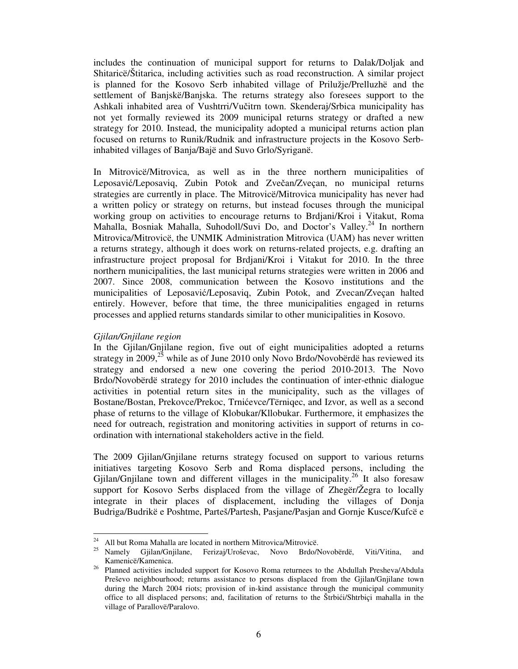includes the continuation of municipal support for returns to Dalak/Doljak and Shitaricë/Štitarica, including activities such as road reconstruction. A similar project is planned for the Kosovo Serb inhabited village of Prilužje/Prelluzhë and the settlement of Banjskë/Banjska. The returns strategy also foresees support to the Ashkali inhabited area of Vushtrri/Vučitrn town. Skenderaj/Srbica municipality has not yet formally reviewed its 2009 municipal returns strategy or drafted a new strategy for 2010. Instead, the municipality adopted a municipal returns action plan focused on returns to Runik/Rudnik and infrastructure projects in the Kosovo Serbinhabited villages of Banja/Bajë and Suvo Grlo/Syriganë.

In Mitrovicë/Mitrovica, as well as in the three northern municipalities of Leposavić/Leposaviq, Zubin Potok and Zvečan/Zveçan, no municipal returns strategies are currently in place. The Mitrovicë/Mitrovica municipality has never had a written policy or strategy on returns, but instead focuses through the municipal working group on activities to encourage returns to Brdjani/Kroi i Vitakut, Roma Mahalla, Bosniak Mahalla, Suhodoll/Suvi Do, and Doctor's Valley.<sup>24</sup> In northern Mitrovica/Mitrovicë, the UNMIK Administration Mitrovica (UAM) has never written a returns strategy, although it does work on returns-related projects, e.g. drafting an infrastructure project proposal for Brdjani/Kroi i Vitakut for 2010. In the three northern municipalities, the last municipal returns strategies were written in 2006 and 2007. Since 2008, communication between the Kosovo institutions and the municipalities of Leposavić/Leposaviq, Zubin Potok, and Zvecan/Zveçan halted entirely. However, before that time, the three municipalities engaged in returns processes and applied returns standards similar to other municipalities in Kosovo.

#### *Gjilan/Gnjilane region*

-

In the Gjilan/Gnjilane region, five out of eight municipalities adopted a returns strategy in 2009,<sup>25</sup> while as of June 2010 only Novo Brdo/Novobërdë has reviewed its strategy and endorsed a new one covering the period 2010-2013. The Novo Brdo/Novobërdë strategy for 2010 includes the continuation of inter-ethnic dialogue activities in potential return sites in the municipality, such as the villages of Bostane/Bostan, Prekovce/Prekoc, Trnićevce/Tërniqec, and Izvor, as well as a second phase of returns to the village of Klobukar/Kllobukar. Furthermore, it emphasizes the need for outreach, registration and monitoring activities in support of returns in coordination with international stakeholders active in the field.

The 2009 Gjilan/Gnjilane returns strategy focused on support to various returns initiatives targeting Kosovo Serb and Roma displaced persons, including the Gjilan/Gnjilane town and different villages in the municipality.<sup>26</sup> It also foresaw support for Kosovo Serbs displaced from the village of Zhegër/Žegra to locally integrate in their places of displacement, including the villages of Donja Budriga/Budrikë e Poshtme, Parteš/Partesh, Pasjane/Pasjan and Gornje Kusce/Kufcë e

 $24$  All but Roma Mahalla are located in northern Mitrovica/Mitrovice.

<sup>&</sup>lt;sup>25</sup> Namely Gjilan/Gnjilane, Ferizaj/Uroševac, Novo Brdo/Novobërdë, Viti/Vitina, and Kamenicë/Kamenica.

<sup>&</sup>lt;sup>26</sup> Planned activities included support for Kosovo Roma returnees to the Abdullah Presheva/Abdula Preševo neighbourhood; returns assistance to persons displaced from the Gjilan/Gnjilane town during the March 2004 riots; provision of in-kind assistance through the municipal community office to all displaced persons; and, facilitation of returns to the Štrbići/Shtrbiçi mahalla in the village of Parallovë/Paralovo.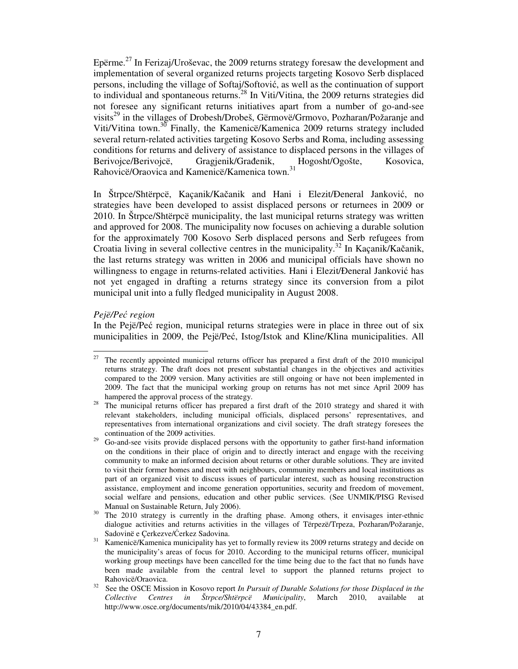Epërme.<sup>27</sup> In Ferizaj/Uroševac, the 2009 returns strategy foresaw the development and implementation of several organized returns projects targeting Kosovo Serb displaced persons, including the village of Softaj/Softović, as well as the continuation of support to individual and spontaneous returns.<sup>28</sup> In Viti/Vitina, the 2009 returns strategies did not foresee any significant returns initiatives apart from a number of go-and-see visits<sup>29</sup> in the villages of Drobesh/Drobeš, Gërmovë/Grmovo, Pozharan/Požaranje and Viti/Vitina town.<sup>30</sup> Finally, the Kamenicë/Kamenica 2009 returns strategy included several return-related activities targeting Kosovo Serbs and Roma, including assessing conditions for returns and delivery of assistance to displaced persons in the villages of Berivojce/Berivojcë, Gragjenik/Građenik, Hogosht/Ogošte, Kosovica, Rahovicë/Oraovica and Kamenicë/Kamenica town.<sup>31</sup>

In Štrpce/Shtërpcë, Kaçanik/Kačanik and Hani i Elezit/Ðeneral Janković, no strategies have been developed to assist displaced persons or returnees in 2009 or 2010. In Štrpce/Shtërpcë municipality, the last municipal returns strategy was written and approved for 2008. The municipality now focuses on achieving a durable solution for the approximately 700 Kosovo Serb displaced persons and Serb refugees from Croatia living in several collective centres in the municipality.<sup>32</sup> In Kaçanik/Kačanik, the last returns strategy was written in 2006 and municipal officials have shown no willingness to engage in returns-related activities. Hani i Elezit/Ðeneral Janković has not yet engaged in drafting a returns strategy since its conversion from a pilot municipal unit into a fully fledged municipality in August 2008.

#### *Pejë/Pe*ć *region*

In the Pejë/Peć region, municipal returns strategies were in place in three out of six municipalities in 2009, the Pejë/Peć, Istog/Istok and Kline/Klina municipalities. All

 $\frac{1}{27}$  The recently appointed municipal returns officer has prepared a first draft of the 2010 municipal returns strategy. The draft does not present substantial changes in the objectives and activities compared to the 2009 version. Many activities are still ongoing or have not been implemented in 2009. The fact that the municipal working group on returns has not met since April 2009 has hampered the approval process of the strategy.

<sup>&</sup>lt;sup>28</sup> The municipal returns officer has prepared a first draft of the 2010 strategy and shared it with relevant stakeholders, including municipal officials, displaced persons' representatives, and representatives from international organizations and civil society. The draft strategy foresees the continuation of the 2009 activities.

<sup>29</sup> Go-and-see visits provide displaced persons with the opportunity to gather first-hand information on the conditions in their place of origin and to directly interact and engage with the receiving community to make an informed decision about returns or other durable solutions. They are invited to visit their former homes and meet with neighbours, community members and local institutions as part of an organized visit to discuss issues of particular interest, such as housing reconstruction assistance, employment and income generation opportunities, security and freedom of movement, social welfare and pensions, education and other public services. (See UNMIK/PISG Revised Manual on Sustainable Return, July 2006).

The 2010 strategy is currently in the drafting phase. Among others, it envisages inter-ethnic dialogue activities and returns activities in the villages of Tërpezë/Trpeza, Pozharan/Požaranje, Sadovinë e Çerkezve/Ćerkez Sadovina.

<sup>&</sup>lt;sup>31</sup> Kamenicë/Kamenica municipality has yet to formally review its 2009 returns strategy and decide on the municipality's areas of focus for 2010. According to the municipal returns officer, municipal working group meetings have been cancelled for the time being due to the fact that no funds have been made available from the central level to support the planned returns project to Rahovicë/Oraovica.

<sup>&</sup>lt;sup>32</sup> See the OSCE Mission in Kosovo report *In Pursuit of Durable Solutions for those Displaced in the Collective Centres in Štrpce/Shtërpcë Municipality*, March 2010, available http://www.osce.org/documents/mik/2010/04/43384\_en.pdf.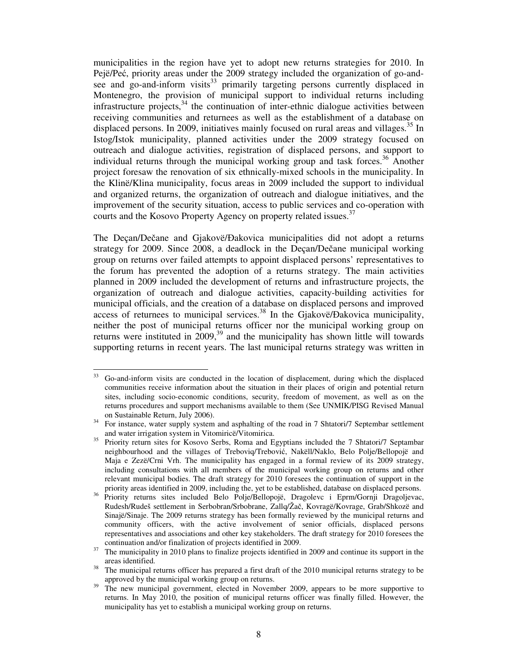municipalities in the region have yet to adopt new returns strategies for 2010. In Pejë/Peć, priority areas under the 2009 strategy included the organization of go-andsee and go-and-inform visits<sup>33</sup> primarily targeting persons currently displaced in Montenegro, the provision of municipal support to individual returns including infrastructure projects,<sup>34</sup> the continuation of inter-ethnic dialogue activities between receiving communities and returnees as well as the establishment of a database on displaced persons. In 2009, initiatives mainly focused on rural areas and villages.<sup>35</sup> In Istog/Istok municipality, planned activities under the 2009 strategy focused on outreach and dialogue activities, registration of displaced persons, and support to individual returns through the municipal working group and task forces.<sup>36</sup> Another project foresaw the renovation of six ethnically-mixed schools in the municipality. In the Klinë/Klina municipality, focus areas in 2009 included the support to individual and organized returns, the organization of outreach and dialogue initiatives, and the improvement of the security situation, access to public services and co-operation with courts and the Kosovo Property Agency on property related issues.<sup>37</sup>

The Deçan/Dečane and Gjakovë/Đakovica municipalities did not adopt a returns strategy for 2009. Since 2008, a deadlock in the Deçan/Dečane municipal working group on returns over failed attempts to appoint displaced persons' representatives to the forum has prevented the adoption of a returns strategy. The main activities planned in 2009 included the development of returns and infrastructure projects, the organization of outreach and dialogue activities, capacity-building activities for municipal officials, and the creation of a database on displaced persons and improved access of returnees to municipal services.<sup>38</sup> In the Gjakovë/Đakovica municipality, neither the post of municipal returns officer nor the municipal working group on returns were instituted in  $2009$ ,  $39$  and the municipality has shown little will towards supporting returns in recent years. The last municipal returns strategy was written in

<sup>-</sup> $33$  Go-and-inform visits are conducted in the location of displacement, during which the displaced communities receive information about the situation in their places of origin and potential return sites, including socio-economic conditions, security, freedom of movement, as well as on the returns procedures and support mechanisms available to them (See UNMIK/PISG Revised Manual on Sustainable Return, July 2006).

<sup>&</sup>lt;sup>34</sup> For instance, water supply system and asphalting of the road in 7 Shtatori/7 Septembar settlement and water irrigation system in Vitomiricë/Vitomirica.

<sup>&</sup>lt;sup>35</sup> Priority return sites for Kosovo Serbs, Roma and Egyptians included the 7 Shtatori/7 Septambar neighbourhood and the villages of Treboviq/Trebović, Nakëll/Naklo, Belo Polje/Bellopojë and Maja e Zezë/Crni Vrh. The municipality has engaged in a formal review of its 2009 strategy, including consultations with all members of the municipal working group on returns and other relevant municipal bodies. The draft strategy for 2010 foresees the continuation of support in the priority areas identified in 2009, including the, yet to be established, database on displaced persons.

<sup>36</sup> Priority returns sites included Belo Polje/Bellopojë, Dragolevc i Eprm/Gornji Dragoljevac, Rudesh/Rudeš settlement in Serbobran/Srbobrane, Zallq/Žač, Kovragë/Kovrage, Grab/Shkozë and Sinajë/Sinaje. The 2009 returns strategy has been formally reviewed by the municipal returns and community officers, with the active involvement of senior officials, displaced persons representatives and associations and other key stakeholders. The draft strategy for 2010 foresees the continuation and/or finalization of projects identified in 2009.

<sup>&</sup>lt;sup>37</sup> The municipality in 2010 plans to finalize projects identified in 2009 and continue its support in the areas identified.

<sup>&</sup>lt;sup>38</sup> The municipal returns officer has prepared a first draft of the 2010 municipal returns strategy to be approved by the municipal working group on returns.

<sup>&</sup>lt;sup>39</sup> The new municipal government, elected in November 2009, appears to be more supportive to returns. In May 2010, the position of municipal returns officer was finally filled. However, the municipality has yet to establish a municipal working group on returns.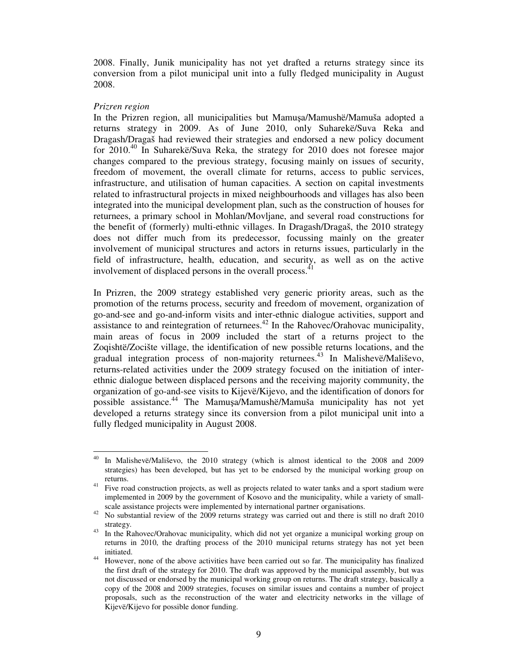2008. Finally, Junik municipality has not yet drafted a returns strategy since its conversion from a pilot municipal unit into a fully fledged municipality in August 2008.

#### *Prizren region*

In the Prizren region, all municipalities but Mamuşa/Mamushë/Mamuša adopted a returns strategy in 2009. As of June 2010, only Suharekë/Suva Reka and Dragash/Dragaš had reviewed their strategies and endorsed a new policy document for  $2010^{40}$  In Suharekë/Suva Reka, the strategy for 2010 does not foresee major changes compared to the previous strategy, focusing mainly on issues of security, freedom of movement, the overall climate for returns, access to public services, infrastructure, and utilisation of human capacities. A section on capital investments related to infrastructural projects in mixed neighbourhoods and villages has also been integrated into the municipal development plan, such as the construction of houses for returnees, a primary school in Mohlan/Movljane, and several road constructions for the benefit of (formerly) multi-ethnic villages. In Dragash/Dragaš, the 2010 strategy does not differ much from its predecessor, focussing mainly on the greater involvement of municipal structures and actors in returns issues, particularly in the field of infrastructure, health, education, and security, as well as on the active involvement of displaced persons in the overall process.<sup>41</sup>

In Prizren, the 2009 strategy established very generic priority areas, such as the promotion of the returns process, security and freedom of movement, organization of go-and-see and go-and-inform visits and inter-ethnic dialogue activities, support and assistance to and reintegration of returnees. $42$  In the Rahovec/Orahovac municipality, main areas of focus in 2009 included the start of a returns project to the Zoqishtë/Zocište village, the identification of new possible returns locations, and the gradual integration process of non-majority returnees.<sup>43</sup> In Malishevë/Mališevo, returns-related activities under the 2009 strategy focused on the initiation of interethnic dialogue between displaced persons and the receiving majority community, the organization of go-and-see visits to Kijevë/Kijevo, and the identification of donors for possible assistance.<sup>44</sup> The Mamuşa/Mamushë/Mamuša municipality has not yet developed a returns strategy since its conversion from a pilot municipal unit into a fully fledged municipality in August 2008.

<sup>-</sup><sup>40</sup> In Malishevë/Mališevo, the 2010 strategy (which is almost identical to the 2008 and 2009 strategies) has been developed, but has yet to be endorsed by the municipal working group on returns.

<sup>&</sup>lt;sup>41</sup> Five road construction projects, as well as projects related to water tanks and a sport stadium were implemented in 2009 by the government of Kosovo and the municipality, while a variety of smallscale assistance projects were implemented by international partner organisations.

<sup>&</sup>lt;sup>42</sup> No substantial review of the 2009 returns strategy was carried out and there is still no draft 2010 strategy.

<sup>&</sup>lt;sup>43</sup> In the Rahovec/Orahovac municipality, which did not yet organize a municipal working group on returns in 2010, the drafting process of the 2010 municipal returns strategy has not yet been initiated.

<sup>&</sup>lt;sup>44</sup> However, none of the above activities have been carried out so far. The municipality has finalized the first draft of the strategy for 2010. The draft was approved by the municipal assembly, but was not discussed or endorsed by the municipal working group on returns. The draft strategy, basically a copy of the 2008 and 2009 strategies, focuses on similar issues and contains a number of project proposals, such as the reconstruction of the water and electricity networks in the village of Kijevë/Kijevo for possible donor funding.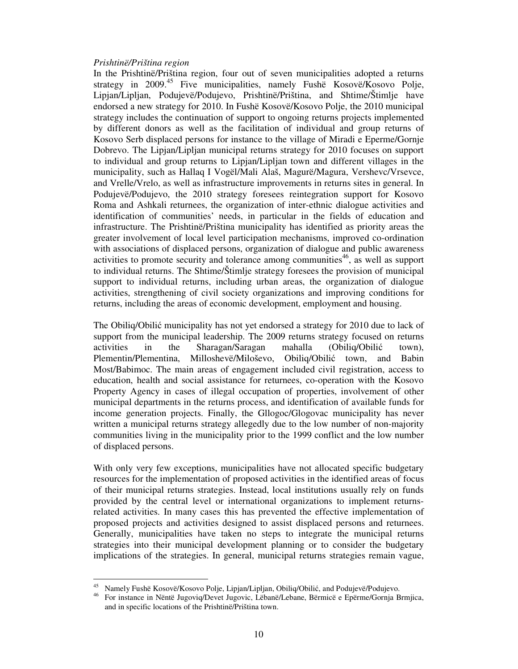#### *Prishtinë/Priština region*

In the Prishtinë/Priština region, four out of seven municipalities adopted a returns strategy in 2009.<sup>45</sup> Five municipalities, namely Fushe Kosovë/Kosovo Polje, Lipjan/Lipljan, Podujevë/Podujevo, Prishtinë/Priština, and Shtime/Štimlje have endorsed a new strategy for 2010. In Fushë Kosovë/Kosovo Polje, the 2010 municipal strategy includes the continuation of support to ongoing returns projects implemented by different donors as well as the facilitation of individual and group returns of Kosovo Serb displaced persons for instance to the village of Miradi e Eperme/Gornje Dobrevo. The Lipjan/Lipljan municipal returns strategy for 2010 focuses on support to individual and group returns to Lipjan/Lipljan town and different villages in the municipality, such as Hallaq I Vogël/Mali Alaš, Magurë/Magura, Vershevc/Vrsevce, and Vrelle/Vrelo, as well as infrastructure improvements in returns sites in general. In Podujevë/Podujevo, the 2010 strategy foresees reintegration support for Kosovo Roma and Ashkali returnees, the organization of inter-ethnic dialogue activities and identification of communities' needs, in particular in the fields of education and infrastructure. The Prishtinë/Priština municipality has identified as priority areas the greater involvement of local level participation mechanisms, improved co-ordination with associations of displaced persons, organization of dialogue and public awareness activities to promote security and tolerance among communities<sup>46</sup>, as well as support to individual returns. The Shtime/Štimlje strategy foresees the provision of municipal support to individual returns, including urban areas, the organization of dialogue activities, strengthening of civil society organizations and improving conditions for returns, including the areas of economic development, employment and housing.

The Obiliq/Obilić municipality has not yet endorsed a strategy for 2010 due to lack of support from the municipal leadership. The 2009 returns strategy focused on returns activities in the Sharagan/Saragan mahalla (Obiliq/Obilić town), Plementin/Plementina, Milloshevë/Miloševo, Obiliq/Obilić town, and Babin Most/Babimoc. The main areas of engagement included civil registration, access to education, health and social assistance for returnees, co-operation with the Kosovo Property Agency in cases of illegal occupation of properties, involvement of other municipal departments in the returns process, and identification of available funds for income generation projects. Finally, the Gllogoc/Glogovac municipality has never written a municipal returns strategy allegedly due to the low number of non-majority communities living in the municipality prior to the 1999 conflict and the low number of displaced persons.

With only very few exceptions, municipalities have not allocated specific budgetary resources for the implementation of proposed activities in the identified areas of focus of their municipal returns strategies. Instead, local institutions usually rely on funds provided by the central level or international organizations to implement returnsrelated activities. In many cases this has prevented the effective implementation of proposed projects and activities designed to assist displaced persons and returnees. Generally, municipalities have taken no steps to integrate the municipal returns strategies into their municipal development planning or to consider the budgetary implications of the strategies. In general, municipal returns strategies remain vague,

<sup>-</sup><sup>45</sup> Namely Fushë Kosovë/Kosovo Polje, Lipjan/Lipljan, Obiliq/Obilić, and Podujevë/Podujevo.

<sup>46</sup> For instance in Nëntë Jugoviq/Devet Jugovic, Lëbanë/Lebane, Bërmicë e Epërme/Gornja Brmjica, and in specific locations of the Prishtinë/Priština town.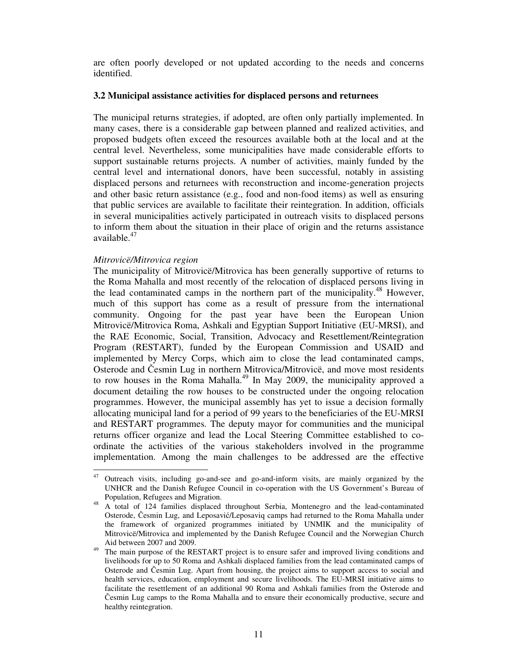are often poorly developed or not updated according to the needs and concerns identified.

#### **3.2 Municipal assistance activities for displaced persons and returnees**

The municipal returns strategies, if adopted, are often only partially implemented. In many cases, there is a considerable gap between planned and realized activities, and proposed budgets often exceed the resources available both at the local and at the central level. Nevertheless, some municipalities have made considerable efforts to support sustainable returns projects. A number of activities, mainly funded by the central level and international donors, have been successful, notably in assisting displaced persons and returnees with reconstruction and income-generation projects and other basic return assistance (e.g., food and non-food items) as well as ensuring that public services are available to facilitate their reintegration. In addition, officials in several municipalities actively participated in outreach visits to displaced persons to inform them about the situation in their place of origin and the returns assistance available.<sup>47</sup>

#### *Mitrovicë/Mitrovica region*

-

The municipality of Mitrovicë/Mitrovica has been generally supportive of returns to the Roma Mahalla and most recently of the relocation of displaced persons living in the lead contaminated camps in the northern part of the municipality.<sup>48</sup> However, much of this support has come as a result of pressure from the international community. Ongoing for the past year have been the European Union Mitrovicë/Mitrovica Roma, Ashkali and Egyptian Support Initiative (EU-MRSI), and the RAE Economic, Social, Transition, Advocacy and Resettlement/Reintegration Program (RESTART), funded by the European Commission and USAID and implemented by Mercy Corps, which aim to close the lead contaminated camps, Osterode and Česmin Lug in northern Mitrovica/Mitrovicë, and move most residents to row houses in the Roma Mahalla.<sup>49</sup> In May 2009, the municipality approved a document detailing the row houses to be constructed under the ongoing relocation programmes. However, the municipal assembly has yet to issue a decision formally allocating municipal land for a period of 99 years to the beneficiaries of the EU-MRSI and RESTART programmes. The deputy mayor for communities and the municipal returns officer organize and lead the Local Steering Committee established to coordinate the activities of the various stakeholders involved in the programme implementation. Among the main challenges to be addressed are the effective

<sup>47</sup>Outreach visits, including go-and-see and go-and-inform visits, are mainly organized by the UNHCR and the Danish Refugee Council in co-operation with the US Government's Bureau of Population, Refugees and Migration.

<sup>&</sup>lt;sup>48</sup> A total of 124 families displaced throughout Serbia, Montenegro and the lead-contaminated Osterode, Česmin Lug, and Leposavić/Leposaviq camps had returned to the Roma Mahalla under the framework of organized programmes initiated by UNMIK and the municipality of Mitrovicë/Mitrovica and implemented by the Danish Refugee Council and the Norwegian Church Aid between 2007 and 2009.

<sup>&</sup>lt;sup>49</sup> The main purpose of the RESTART project is to ensure safer and improved living conditions and livelihoods for up to 50 Roma and Ashkali displaced families from the lead contaminated camps of Osterode and Česmin Lug. Apart from housing, the project aims to support access to social and health services, education, employment and secure livelihoods. The EU-MRSI initiative aims to facilitate the resettlement of an additional 90 Roma and Ashkali families from the Osterode and Česmin Lug camps to the Roma Mahalla and to ensure their economically productive, secure and healthy reintegration.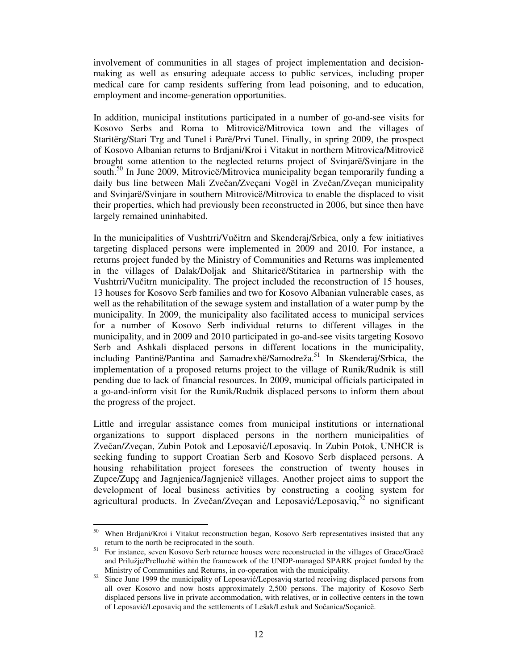involvement of communities in all stages of project implementation and decisionmaking as well as ensuring adequate access to public services, including proper medical care for camp residents suffering from lead poisoning, and to education, employment and income-generation opportunities.

In addition, municipal institutions participated in a number of go-and-see visits for Kosovo Serbs and Roma to Mitrovicë/Mitrovica town and the villages of Staritërg/Stari Trg and Tunel i Parë/Prvi Tunel. Finally, in spring 2009, the prospect of Kosovo Albanian returns to Brdjani/Kroi i Vitakut in northern Mitrovica/Mitrovicë brought some attention to the neglected returns project of Svinjarë/Svinjare in the south.<sup>50</sup> In June 2009, Mitrovicë/Mitrovica municipality began temporarily funding a daily bus line between Mali Zvečan/Zveçani Vogël in Zvečan/Zveçan municipality and Svinjarë/Svinjare in southern Mitrovicë/Mitrovica to enable the displaced to visit their properties, which had previously been reconstructed in 2006, but since then have largely remained uninhabited.

In the municipalities of Vushtrri/Vučitrn and Skenderaj/Srbica, only a few initiatives targeting displaced persons were implemented in 2009 and 2010. For instance, a returns project funded by the Ministry of Communities and Returns was implemented in the villages of Dalak/Doljak and Shitaricë/Stitarica in partnership with the Vushtrri/Vučitrn municipality. The project included the reconstruction of 15 houses, 13 houses for Kosovo Serb families and two for Kosovo Albanian vulnerable cases, as well as the rehabilitation of the sewage system and installation of a water pump by the municipality. In 2009, the municipality also facilitated access to municipal services for a number of Kosovo Serb individual returns to different villages in the municipality, and in 2009 and 2010 participated in go-and-see visits targeting Kosovo Serb and Ashkali displaced persons in different locations in the municipality, including Pantinë/Pantina and Samadrexhë/Samodreža.<sup>51</sup> In Skenderaj/Srbica, the implementation of a proposed returns project to the village of Runik/Rudnik is still pending due to lack of financial resources. In 2009, municipal officials participated in a go-and-inform visit for the Runik/Rudnik displaced persons to inform them about the progress of the project.

Little and irregular assistance comes from municipal institutions or international organizations to support displaced persons in the northern municipalities of Zvečan/Zveçan, Zubin Potok and Leposavić/Leposaviq. In Zubin Potok, UNHCR is seeking funding to support Croatian Serb and Kosovo Serb displaced persons. A housing rehabilitation project foresees the construction of twenty houses in Zupce/Zupç and Jagnjenica/Jagnjenicë villages. Another project aims to support the development of local business activities by constructing a cooling system for agricultural products. In Zvečan/Zveçan and Leposavić/Leposaviq,<sup>52</sup> no significant

<sup>-</sup><sup>50</sup> When Brdjani/Kroi i Vitakut reconstruction began, Kosovo Serb representatives insisted that any return to the north be reciprocated in the south.

<sup>51</sup> For instance, seven Kosovo Serb returnee houses were reconstructed in the villages of Grace/Gracë and Prilužje/Prelluzhë within the framework of the UNDP-managed SPARK project funded by the Ministry of Communities and Returns, in co-operation with the municipality.

 $52$  Since June 1999 the municipality of Leposavić/Leposaviq started receiving displaced persons from all over Kosovo and now hosts approximately 2,500 persons. The majority of Kosovo Serb displaced persons live in private accommodation, with relatives, or in collective centers in the town of Leposavić/Leposaviq and the settlements of Lešak/Leshak and Sočanica/Soçanicë.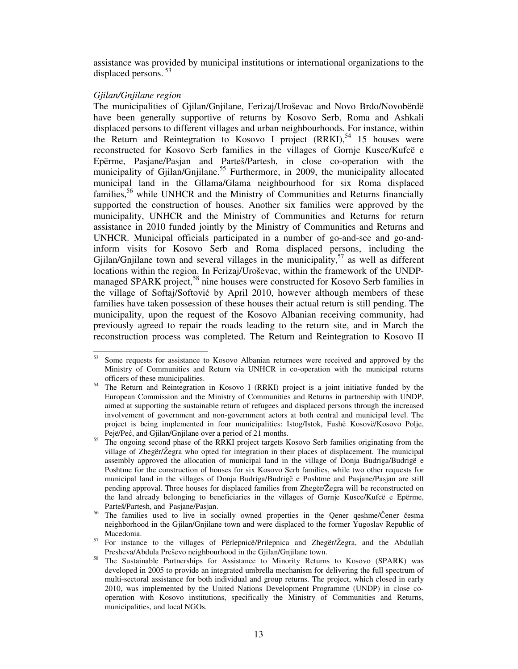assistance was provided by municipal institutions or international organizations to the displaced persons.<sup>53</sup>

#### *Gjilan/Gnjilane region*

The municipalities of Gjilan/Gnjilane, Ferizaj/Uroševac and Novo Brdo/Novobërdë have been generally supportive of returns by Kosovo Serb, Roma and Ashkali displaced persons to different villages and urban neighbourhoods. For instance, within the Return and Reintegration to Kosovo I project  $(RRKI)$ ,<sup>54</sup> 15 houses were reconstructed for Kosovo Serb families in the villages of Gornje Kusce/Kufcë e Epërme, Pasjane/Pasjan and Parteš/Partesh, in close co-operation with the municipality of Gjilan/Gnjilane.<sup>55</sup> Furthermore, in 2009, the municipality allocated municipal land in the Gllama/Glama neighbourhood for six Roma displaced families,<sup>56</sup> while UNHCR and the Ministry of Communities and Returns financially supported the construction of houses. Another six families were approved by the municipality, UNHCR and the Ministry of Communities and Returns for return assistance in 2010 funded jointly by the Ministry of Communities and Returns and UNHCR. Municipal officials participated in a number of go-and-see and go-andinform visits for Kosovo Serb and Roma displaced persons, including the Gjilan/Gnjilane town and several villages in the municipality,  $57$  as well as different locations within the region. In Ferizaj/Uroševac, within the framework of the UNDPmanaged SPARK project,<sup>58</sup> nine houses were constructed for Kosovo Serb families in the village of Softaj/Softović by April 2010, however although members of these families have taken possession of these houses their actual return is still pending. The municipality, upon the request of the Kosovo Albanian receiving community, had previously agreed to repair the roads leading to the return site, and in March the reconstruction process was completed. The Return and Reintegration to Kosovo II

<sup>53</sup> <sup>53</sup> Some requests for assistance to Kosovo Albanian returnees were received and approved by the Ministry of Communities and Return via UNHCR in co-operation with the municipal returns officers of these municipalities.

<sup>&</sup>lt;sup>54</sup> The Return and Reintegration in Kosovo I (RRKI) project is a joint initiative funded by the European Commission and the Ministry of Communities and Returns in partnership with UNDP, aimed at supporting the sustainable return of refugees and displaced persons through the increased involvement of government and non-government actors at both central and municipal level. The project is being implemented in four municipalities: Istog/Istok, Fushë Kosovë/Kosovo Polje, Pejë/Peć, and Gjilan/Gnjilane over a period of 21 months.

<sup>55</sup> The ongoing second phase of the RRKI project targets Kosovo Serb families originating from the village of Zhegër/Žegra who opted for integration in their places of displacement. The municipal assembly approved the allocation of municipal land in the village of Donja Budriga/Budrigë e Poshtme for the construction of houses for six Kosovo Serb families, while two other requests for municipal land in the villages of Donja Budriga/Budrigë e Poshtme and Pasjane/Pasjan are still pending approval. Three houses for displaced families from Zhegër/Žegra will be reconstructed on the land already belonging to beneficiaries in the villages of Gornje Kusce/Kufcë e Epërme, Parteš/Partesh, and Pasjane/Pasjan.

<sup>&</sup>lt;sup>56</sup> The families used to live in socially owned properties in the Qener qeshme/Čener česma neighborhood in the Gjilan/Gnjilane town and were displaced to the former Yugoslav Republic of Macedonia.

<sup>&</sup>lt;sup>57</sup> For instance to the villages of Përlepnicë/Prilepnica and Zhegër/Žegra, and the Abdullah Presheva/Abdula Preševo neighbourhood in the Gjilan/Gnjilane town.

<sup>&</sup>lt;sup>58</sup> The Sustainable Partnerships for Assistance to Minority Returns to Kosovo (SPARK) was developed in 2005 to provide an integrated umbrella mechanism for delivering the full spectrum of multi-sectoral assistance for both individual and group returns. The project, which closed in early 2010, was implemented by the United Nations Development Programme (UNDP) in close cooperation with Kosovo institutions, specifically the Ministry of Communities and Returns, municipalities, and local NGOs.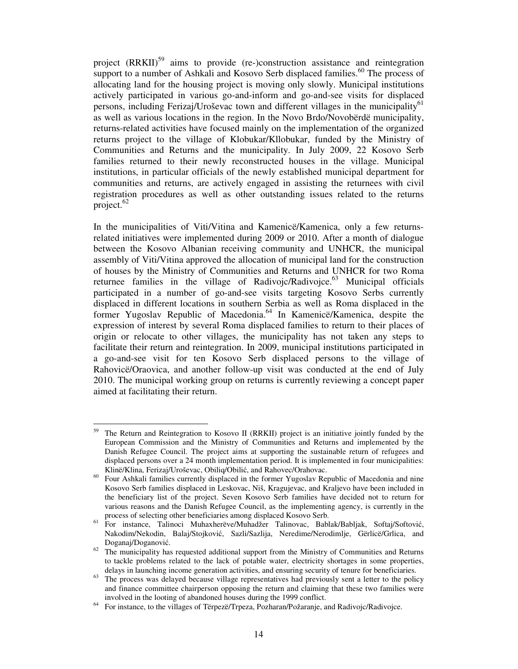project (RRKII)<sup>59</sup> aims to provide (re-)construction assistance and reintegration support to a number of Ashkali and Kosovo Serb displaced families.<sup>60</sup> The process of allocating land for the housing project is moving only slowly. Municipal institutions actively participated in various go-and-inform and go-and-see visits for displaced persons, including Ferizaj/Uroševac town and different villages in the municipality<sup>61</sup> as well as various locations in the region. In the Novo Brdo/Novobërdë municipality, returns-related activities have focused mainly on the implementation of the organized returns project to the village of Klobukar/Kllobukar, funded by the Ministry of Communities and Returns and the municipality. In July 2009, 22 Kosovo Serb families returned to their newly reconstructed houses in the village. Municipal institutions, in particular officials of the newly established municipal department for communities and returns, are actively engaged in assisting the returnees with civil registration procedures as well as other outstanding issues related to the returns project. $62$ 

In the municipalities of Viti/Vitina and Kamenicë/Kamenica, only a few returnsrelated initiatives were implemented during 2009 or 2010. After a month of dialogue between the Kosovo Albanian receiving community and UNHCR, the municipal assembly of Viti/Vitina approved the allocation of municipal land for the construction of houses by the Ministry of Communities and Returns and UNHCR for two Roma returnee families in the village of Radivojc/Radivojce.<sup>63</sup> Municipal officials participated in a number of go-and-see visits targeting Kosovo Serbs currently displaced in different locations in southern Serbia as well as Roma displaced in the former Yugoslav Republic of Macedonia.<sup>64</sup> In Kamenicë/Kamenica, despite the expression of interest by several Roma displaced families to return to their places of origin or relocate to other villages, the municipality has not taken any steps to facilitate their return and reintegration. In 2009, municipal institutions participated in a go-and-see visit for ten Kosovo Serb displaced persons to the village of Rahovicë/Oraovica, and another follow-up visit was conducted at the end of July 2010. The municipal working group on returns is currently reviewing a concept paper aimed at facilitating their return.

-

The Return and Reintegration to Kosovo II (RRKII) project is an initiative jointly funded by the European Commission and the Ministry of Communities and Returns and implemented by the Danish Refugee Council. The project aims at supporting the sustainable return of refugees and displaced persons over a 24 month implementation period. It is implemented in four municipalities: Klinë/Klina, Ferizaj/Uroševac, Obiliq/Obilić, and Rahovec/Orahovac.

<sup>&</sup>lt;sup>60</sup> Four Ashkali families currently displaced in the former Yugoslav Republic of Macedonia and nine Kosovo Serb families displaced in Leskovac, Niš, Kragujevac, and Kraljevo have been included in the beneficiary list of the project. Seven Kosovo Serb families have decided not to return for various reasons and the Danish Refugee Council, as the implementing agency, is currently in the process of selecting other beneficiaries among displaced Kosovo Serb.

<sup>61</sup>For instance, Talinoci Muhaxherëve/Muhadžer Talinovac, Bablak/Babljak, Softaj/Softović, Nakodim/Nekodin, Balaj/Stojković, Sazli/Sazlija, Neredime/Nerodimlje, Gërlicë/Grlica, and Doganaj/Doganović.

 $62$  The municipality has requested additional support from the Ministry of Communities and Returns to tackle problems related to the lack of potable water, electricity shortages in some properties, delays in launching income generation activities, and ensuring security of tenure for beneficiaries.

 $63$  The process was delayed because village representatives had previously sent a letter to the policy and finance committee chairperson opposing the return and claiming that these two families were involved in the looting of abandoned houses during the 1999 conflict.

<sup>&</sup>lt;sup>64</sup> For instance, to the villages of Tërpezë/Trpeza, Pozharan/Požaranje, and Radivojc/Radivojce.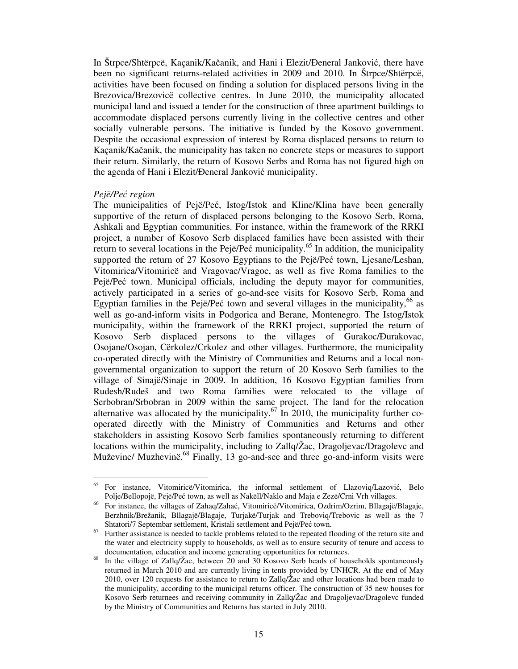In Štrpce/Shtërpcë, Kaçanik/Kačanik, and Hani i Elezit/Đeneral Janković, there have been no significant returns-related activities in 2009 and 2010. In Štrpce/Shtërpcë, activities have been focused on finding a solution for displaced persons living in the Brezovica/Brezovicë collective centres. In June 2010, the municipality allocated municipal land and issued a tender for the construction of three apartment buildings to accommodate displaced persons currently living in the collective centres and other socially vulnerable persons. The initiative is funded by the Kosovo government. Despite the occasional expression of interest by Roma displaced persons to return to Kaçanik/Kačanik, the municipality has taken no concrete steps or measures to support their return. Similarly, the return of Kosovo Serbs and Roma has not figured high on the agenda of Hani i Elezit/Đeneral Janković municipality.

#### *Pejë/Pe*ć *region*

The municipalities of Pejë/Peć, Istog/Istok and Kline/Klina have been generally supportive of the return of displaced persons belonging to the Kosovo Serb, Roma, Ashkali and Egyptian communities. For instance, within the framework of the RRKI project, a number of Kosovo Serb displaced families have been assisted with their return to several locations in the Pejë/Peć municipality.<sup>65</sup> In addition, the municipality supported the return of 27 Kosovo Egyptians to the Pejë/Peć town, Ljesane/Leshan, Vitomirica/Vitomiricë and Vragovac/Vragoc, as well as five Roma families to the Pejë/Peć town. Municipal officials, including the deputy mayor for communities, actively participated in a series of go-and-see visits for Kosovo Serb, Roma and Egyptian families in the Pejë/Peć town and several villages in the municipality,  $66$  as well as go-and-inform visits in Podgorica and Berane, Montenegro. The Istog/Istok municipality, within the framework of the RRKI project, supported the return of Kosovo Serb displaced persons to the villages of Gurakoc/Ðurakovac, Osojane/Osojan, Cërkolez/Crkolez and other villages. Furthermore, the municipality co-operated directly with the Ministry of Communities and Returns and a local nongovernmental organization to support the return of 20 Kosovo Serb families to the village of Sinajë/Sinaje in 2009. In addition, 16 Kosovo Egyptian families from Rudesh/Rudeš and two Roma families were relocated to the village of Serbobran/Srbobran in 2009 within the same project. The land for the relocation alternative was allocated by the municipality.<sup>67</sup> In 2010, the municipality further cooperated directly with the Ministry of Communities and Returns and other stakeholders in assisting Kosovo Serb families spontaneously returning to different locations within the municipality, including to Zallq/Žac, Dragoljevac/Dragolevc and Muževine/ Muzhevinë.<sup>68</sup> Finally, 13 go-and-see and three go-and-inform visits were

<sup>65</sup> <sup>65</sup>For instance, Vitomiricë/Vitomirica, the informal settlement of Llazoviq/Lazović, Belo Polje/Bellopojë, Pejë/Peć town, as well as Nakëll/Naklo and Maja e Zezë/Crni Vrh villages.

<sup>&</sup>lt;sup>66</sup> For instance, the villages of Zahaq/Zahać, Vitomiricë/Vitomirica, Ozdrim/Ozrim, Bllagajë/Blagaje, Berzhnik/Brežanik, Bllagajë/Blagaje, Turjakë/Turjak and Treboviq/Trebovic as well as the 7 Shtatori/7 Septembar settlement, Kristali settlement and Pejë/Peć town.

Further assistance is needed to tackle problems related to the repeated flooding of the return site and the water and electricity supply to households, as well as to ensure security of tenure and access to documentation, education and income generating opportunities for returnees.

<sup>&</sup>lt;sup>68</sup> In the village of Zallq/Žac, between 20 and 30 Kosovo Serb heads of households spontaneously returned in March 2010 and are currently living in tents provided by UNHCR. At the end of May 2010, over 120 requests for assistance to return to Zallq/Žac and other locations had been made to the municipality, according to the municipal returns officer. The construction of 35 new houses for Kosovo Serb returnees and receiving community in Zallq/Žac and Dragoljevac/Dragolevc funded by the Ministry of Communities and Returns has started in July 2010.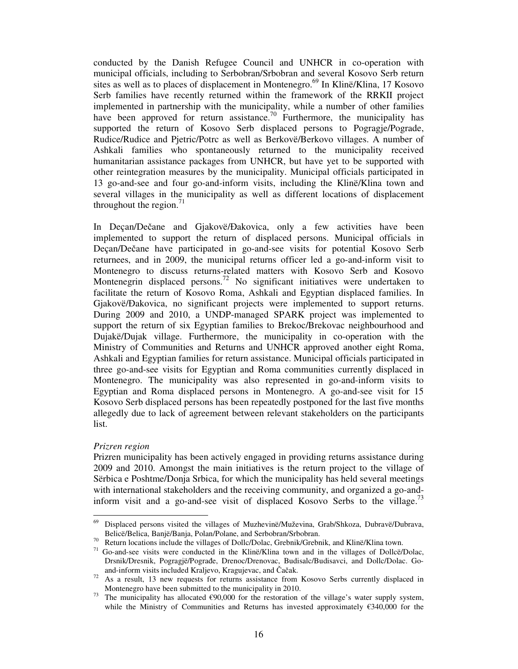conducted by the Danish Refugee Council and UNHCR in co-operation with municipal officials, including to Serbobran/Srbobran and several Kosovo Serb return sites as well as to places of displacement in Montenegro.<sup>69</sup> In Klinë/Klina, 17 Kosovo Serb families have recently returned within the framework of the RRKII project implemented in partnership with the municipality, while a number of other families have been approved for return assistance.<sup>70</sup> Furthermore, the municipality has supported the return of Kosovo Serb displaced persons to Pogragje/Pograde, Rudice/Rudice and Pjetric/Potrc as well as Berkovë/Berkovo villages. A number of Ashkali families who spontaneously returned to the municipality received humanitarian assistance packages from UNHCR, but have yet to be supported with other reintegration measures by the municipality. Municipal officials participated in 13 go-and-see and four go-and-inform visits, including the Klinë/Klina town and several villages in the municipality as well as different locations of displacement throughout the region. $^{71}$ 

In Deçan/Dečane and Gjakovë/Đakovica, only a few activities have been implemented to support the return of displaced persons. Municipal officials in Deçan/Dečane have participated in go-and-see visits for potential Kosovo Serb returnees, and in 2009, the municipal returns officer led a go-and-inform visit to Montenegro to discuss returns-related matters with Kosovo Serb and Kosovo Montenegrin displaced persons.<sup>72</sup> No significant initiatives were undertaken to facilitate the return of Kosovo Roma, Ashkali and Egyptian displaced families. In Gjakovë/Đakovica, no significant projects were implemented to support returns. During 2009 and 2010, a UNDP-managed SPARK project was implemented to support the return of six Egyptian families to Brekoc/Brekovac neighbourhood and Dujakë/Dujak village. Furthermore, the municipality in co-operation with the Ministry of Communities and Returns and UNHCR approved another eight Roma, Ashkali and Egyptian families for return assistance. Municipal officials participated in three go-and-see visits for Egyptian and Roma communities currently displaced in Montenegro. The municipality was also represented in go-and-inform visits to Egyptian and Roma displaced persons in Montenegro. A go-and-see visit for 15 Kosovo Serb displaced persons has been repeatedly postponed for the last five months allegedly due to lack of agreement between relevant stakeholders on the participants list.

#### *Prizren region*

Prizren municipality has been actively engaged in providing returns assistance during 2009 and 2010. Amongst the main initiatives is the return project to the village of Sërbica e Poshtme/Donja Srbica, for which the municipality has held several meetings with international stakeholders and the receiving community, and organized a go-andinform visit and a go-and-see visit of displaced Kosovo Serbs to the village.<sup>73</sup>

<sup>69</sup> <sup>69</sup> Displaced persons visited the villages of Muzhevinë/Muževina, Grab/Shkoza, Dubravë/Dubrava, Belicë/Belica, Banjë/Banja, Polan/Polane, and Serbobran/Srbobran.

<sup>&</sup>lt;sup>70</sup>Return locations include the villages of Dollc/Dolac, Grebnik/Grebnik, and Klinë/Klina town.

<sup>&</sup>lt;sup>71</sup> Go-and-see visits were conducted in the Klinë/Klina town and in the villages of Dollcë/Dolac, Drsnik/Dresnik, Pogragjë/Pograđe, Drenoc/Drenovac, Budisalc/Budisavci, and Dollc/Dolac. Goand-inform visits included Kraljevo, Kragujevac, and Čačak.

<sup>&</sup>lt;sup>72</sup> As a result, 13 new requests for returns assistance from Kosovo Serbs currently displaced in Montenegro have been submitted to the municipality in 2010.

<sup>&</sup>lt;sup>73</sup> The municipality has allocated  $\epsilon$ 90,000 for the restoration of the village's water supply system, while the Ministry of Communities and Returns has invested approximately  $\epsilon$ 340,000 for the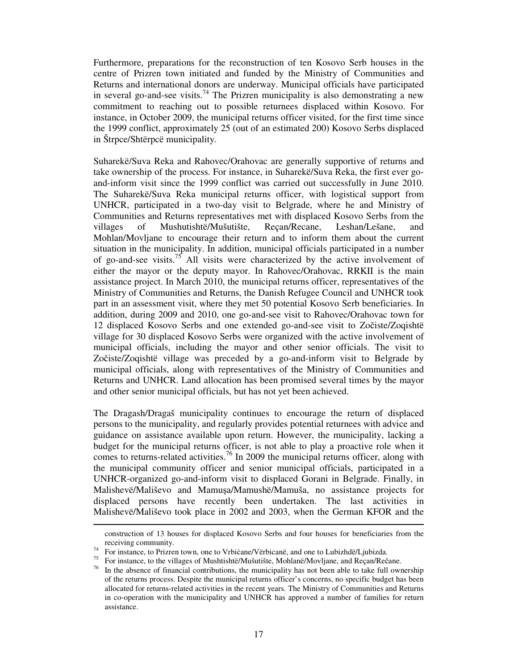Furthermore, preparations for the reconstruction of ten Kosovo Serb houses in the centre of Prizren town initiated and funded by the Ministry of Communities and Returns and international donors are underway. Municipal officials have participated in several go-and-see visits.<sup>74</sup> The Prizren municipality is also demonstrating a new commitment to reaching out to possible returnees displaced within Kosovo. For instance, in October 2009, the municipal returns officer visited, for the first time since the 1999 conflict, approximately 25 (out of an estimated 200) Kosovo Serbs displaced in Štrpce/Shtërpcë municipality.

Suharekë/Suva Reka and Rahovec/Orahovac are generally supportive of returns and take ownership of the process. For instance, in Suharekë/Suva Reka, the first ever goand-inform visit since the 1999 conflict was carried out successfully in June 2010. The Suharekë/Suva Reka municipal returns officer, with logistical support from UNHCR, participated in a two-day visit to Belgrade, where he and Ministry of Communities and Returns representatives met with displaced Kosovo Serbs from the villages of Mushutishtë/Mušutište, Reçan/Recane, Leshan/Lešane, and Mohlan/Movljane to encourage their return and to inform them about the current situation in the municipality. In addition, municipal officials participated in a number of go-and-see visits.<sup>75</sup> All visits were characterized by the active involvement of either the mayor or the deputy mayor. In Rahovec/Orahovac, RRKII is the main assistance project. In March 2010, the municipal returns officer, representatives of the Ministry of Communities and Returns, the Danish Refugee Council and UNHCR took part in an assessment visit, where they met 50 potential Kosovo Serb beneficiaries. In addition, during 2009 and 2010, one go-and-see visit to Rahovec/Orahovac town for 12 displaced Kosovo Serbs and one extended go-and-see visit to Zočiste/Zoqishtë village for 30 displaced Kosovo Serbs were organized with the active involvement of municipal officials, including the mayor and other senior officials. The visit to Zočiste/Zoqishtë village was preceded by a go-and-inform visit to Belgrade by municipal officials, along with representatives of the Ministry of Communities and Returns and UNHCR. Land allocation has been promised several times by the mayor and other senior municipal officials, but has not yet been achieved.

The Dragash/Dragaš municipality continues to encourage the return of displaced persons to the municipality, and regularly provides potential returnees with advice and guidance on assistance available upon return. However, the municipality, lacking a budget for the municipal returns officer, is not able to play a proactive role when it comes to returns-related activities.<sup>76</sup> In 2009 the municipal returns officer, along with the municipal community officer and senior municipal officials, participated in a UNHCR-organized go-and-inform visit to displaced Gorani in Belgrade. Finally, in Malishevë/Mališevo and Mamuşa/Mamushë/Mamuša, no assistance projects for displaced persons have recently been undertaken. The last activities in Malishevë/Mališevo took place in 2002 and 2003, when the German KFOR and the

-

construction of 13 houses for displaced Kosovo Serbs and four houses for beneficiaries from the receiving community.

<sup>&</sup>lt;sup>74</sup> For instance, to Prizren town, one to Vrbiċane/Vërbicanë, and one to Lubizhdë/Ljubizda.

<sup>75</sup> For instance, to the villages of Mushtishtë/Mušutište, Mohlanë/Movljane, and Reçan/Rečane.

 $76$  In the absence of financial contributions, the municipality has not been able to take full ownership of the returns process. Despite the municipal returns officer's concerns, no specific budget has been allocated for returns-related activities in the recent years. The Ministry of Communities and Returns in co-operation with the municipality and UNHCR has approved a number of families for return assistance.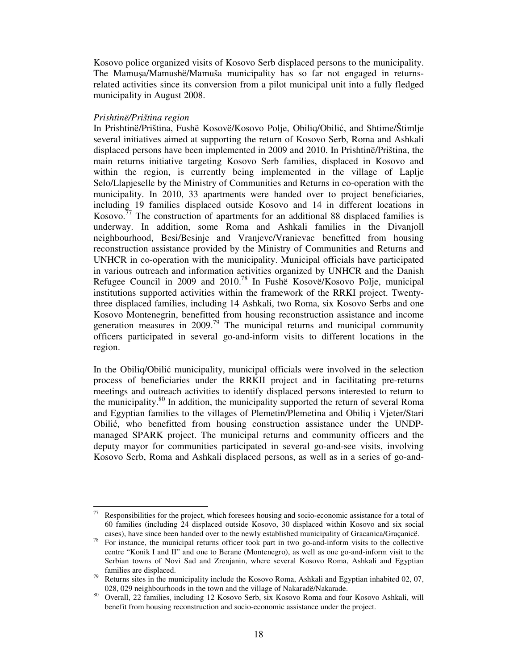Kosovo police organized visits of Kosovo Serb displaced persons to the municipality. The Mamuşa/Mamushë/Mamuša municipality has so far not engaged in returnsrelated activities since its conversion from a pilot municipal unit into a fully fledged municipality in August 2008.

#### *Prishtinë/Priština region*

In Prishtinë/Priština, Fushë Kosovë/Kosovo Polje, Obiliq/Obilić, and Shtime/Štimlje several initiatives aimed at supporting the return of Kosovo Serb, Roma and Ashkali displaced persons have been implemented in 2009 and 2010. In Prishtinë/Priština, the main returns initiative targeting Kosovo Serb families, displaced in Kosovo and within the region, is currently being implemented in the village of Laplje Selo/Llapjeselle by the Ministry of Communities and Returns in co-operation with the municipality. In 2010, 33 apartments were handed over to project beneficiaries, including 19 families displaced outside Kosovo and 14 in different locations in Kosovo.<sup>77</sup> The construction of apartments for an additional 88 displaced families is underway. In addition, some Roma and Ashkali families in the Divanjoll neighbourhood, Besi/Besinje and Vranjevc/Vranievac benefitted from housing reconstruction assistance provided by the Ministry of Communities and Returns and UNHCR in co-operation with the municipality. Municipal officials have participated in various outreach and information activities organized by UNHCR and the Danish Refugee Council in 2009 and 2010.<sup>78</sup> In Fushë Kosovë/Kosovo Polje, municipal institutions supported activities within the framework of the RRKI project. Twentythree displaced families, including 14 Ashkali, two Roma, six Kosovo Serbs and one Kosovo Montenegrin, benefitted from housing reconstruction assistance and income generation measures in  $2009$ .<sup>79</sup> The municipal returns and municipal community officers participated in several go-and-inform visits to different locations in the region.

In the Obiliq/Obilić municipality, municipal officials were involved in the selection process of beneficiaries under the RRKII project and in facilitating pre-returns meetings and outreach activities to identify displaced persons interested to return to the municipality.<sup>80</sup> In addition, the municipality supported the return of several Roma and Egyptian families to the villages of Plemetin/Plemetina and Obiliq i Vjeter/Stari Obilić, who benefitted from housing construction assistance under the UNDPmanaged SPARK project. The municipal returns and community officers and the deputy mayor for communities participated in several go-and-see visits, involving Kosovo Serb, Roma and Ashkali displaced persons, as well as in a series of go-and-

 $77\,$ Responsibilities for the project, which foresees housing and socio-economic assistance for a total of 60 families (including 24 displaced outside Kosovo, 30 displaced within Kosovo and six social cases), have since been handed over to the newly established municipality of Gracanica/Graçanicë.

<sup>&</sup>lt;sup>78</sup>For instance, the municipal returns officer took part in two go-and-inform visits to the collective centre "Konik I and II" and one to Berane (Montenegro), as well as one go-and-inform visit to the Serbian towns of Novi Sad and Zrenjanin, where several Kosovo Roma, Ashkali and Egyptian families are displaced.

 $79$  Returns sites in the municipality include the Kosovo Roma, Ashkali and Egyptian inhabited 02, 07, 028, 029 neighbourhoods in the town and the village of Nakaradë/Nakarade.

<sup>&</sup>lt;sup>80</sup> Overall, 22 families, including 12 Kosovo Serb, six Kosovo Roma and four Kosovo Ashkali, will benefit from housing reconstruction and socio-economic assistance under the project.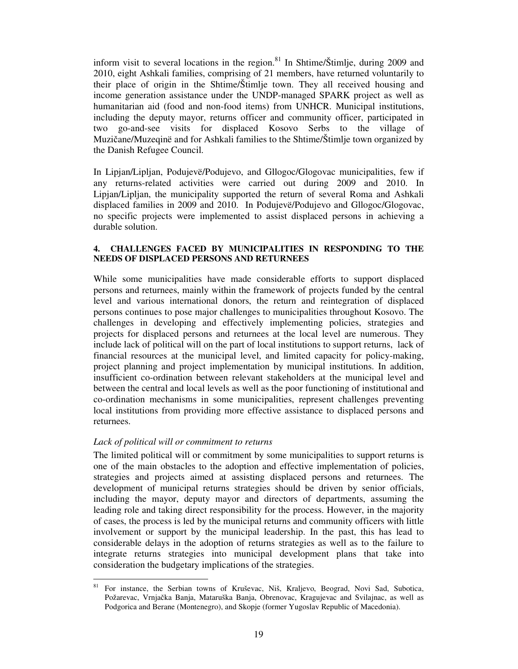inform visit to several locations in the region.<sup>81</sup> In Shtime/Štimlje, during 2009 and 2010, eight Ashkali families, comprising of 21 members, have returned voluntarily to their place of origin in the Shtime/Štimlje town. They all received housing and income generation assistance under the UNDP-managed SPARK project as well as humanitarian aid (food and non-food items) from UNHCR. Municipal institutions, including the deputy mayor, returns officer and community officer, participated in two go-and-see visits for displaced Kosovo Serbs to the village of Muzičane/Muzeqinë and for Ashkali families to the Shtime/Štimlje town organized by the Danish Refugee Council.

In Lipjan/Lipljan, Podujevë/Podujevo, and Gllogoc/Glogovac municipalities, few if any returns-related activities were carried out during 2009 and 2010. In Lipjan/Lipljan, the municipality supported the return of several Roma and Ashkali displaced families in 2009 and 2010. In Podujevë/Podujevo and Gllogoc/Glogovac, no specific projects were implemented to assist displaced persons in achieving a durable solution.

#### **4. CHALLENGES FACED BY MUNICIPALITIES IN RESPONDING TO THE NEEDS OF DISPLACED PERSONS AND RETURNEES**

While some municipalities have made considerable efforts to support displaced persons and returnees, mainly within the framework of projects funded by the central level and various international donors, the return and reintegration of displaced persons continues to pose major challenges to municipalities throughout Kosovo. The challenges in developing and effectively implementing policies, strategies and projects for displaced persons and returnees at the local level are numerous. They include lack of political will on the part of local institutions to support returns, lack of financial resources at the municipal level, and limited capacity for policy-making, project planning and project implementation by municipal institutions. In addition, insufficient co-ordination between relevant stakeholders at the municipal level and between the central and local levels as well as the poor functioning of institutional and co-ordination mechanisms in some municipalities, represent challenges preventing local institutions from providing more effective assistance to displaced persons and returnees.

# *Lack of political will or commitment to returns*

The limited political will or commitment by some municipalities to support returns is one of the main obstacles to the adoption and effective implementation of policies, strategies and projects aimed at assisting displaced persons and returnees. The development of municipal returns strategies should be driven by senior officials, including the mayor, deputy mayor and directors of departments, assuming the leading role and taking direct responsibility for the process. However, in the majority of cases, the process is led by the municipal returns and community officers with little involvement or support by the municipal leadership. In the past, this has lead to considerable delays in the adoption of returns strategies as well as to the failure to integrate returns strategies into municipal development plans that take into consideration the budgetary implications of the strategies.

<sup>-</sup><sup>81</sup>For instance, the Serbian towns of Kruševac, Niš, Kraljevo, Beograd, Novi Sad, Subotica, Požarevac, Vrnjačka Banja, Mataruška Banja, Obrenovac, Kragujevac and Svilajnac, as well as Podgorica and Berane (Montenegro), and Skopje (former Yugoslav Republic of Macedonia).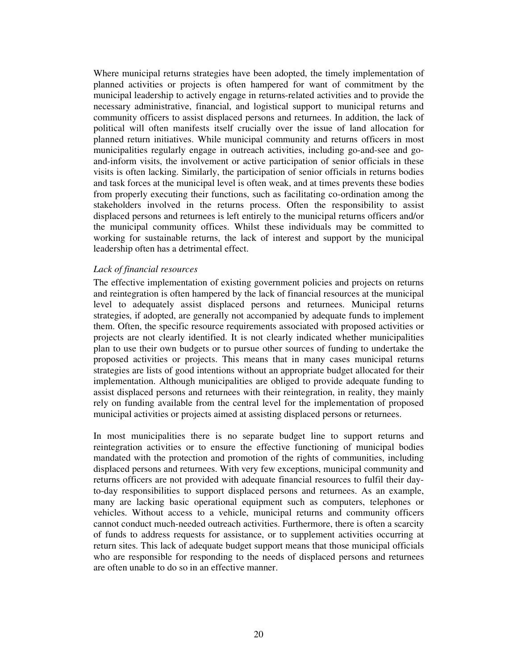Where municipal returns strategies have been adopted, the timely implementation of planned activities or projects is often hampered for want of commitment by the municipal leadership to actively engage in returns-related activities and to provide the necessary administrative, financial, and logistical support to municipal returns and community officers to assist displaced persons and returnees. In addition, the lack of political will often manifests itself crucially over the issue of land allocation for planned return initiatives. While municipal community and returns officers in most municipalities regularly engage in outreach activities, including go-and-see and goand-inform visits, the involvement or active participation of senior officials in these visits is often lacking. Similarly, the participation of senior officials in returns bodies and task forces at the municipal level is often weak, and at times prevents these bodies from properly executing their functions, such as facilitating co-ordination among the stakeholders involved in the returns process. Often the responsibility to assist displaced persons and returnees is left entirely to the municipal returns officers and/or the municipal community offices. Whilst these individuals may be committed to working for sustainable returns, the lack of interest and support by the municipal leadership often has a detrimental effect.

#### *Lack of financial resources*

The effective implementation of existing government policies and projects on returns and reintegration is often hampered by the lack of financial resources at the municipal level to adequately assist displaced persons and returnees. Municipal returns strategies, if adopted, are generally not accompanied by adequate funds to implement them. Often, the specific resource requirements associated with proposed activities or projects are not clearly identified. It is not clearly indicated whether municipalities plan to use their own budgets or to pursue other sources of funding to undertake the proposed activities or projects. This means that in many cases municipal returns strategies are lists of good intentions without an appropriate budget allocated for their implementation. Although municipalities are obliged to provide adequate funding to assist displaced persons and returnees with their reintegration, in reality, they mainly rely on funding available from the central level for the implementation of proposed municipal activities or projects aimed at assisting displaced persons or returnees.

In most municipalities there is no separate budget line to support returns and reintegration activities or to ensure the effective functioning of municipal bodies mandated with the protection and promotion of the rights of communities, including displaced persons and returnees. With very few exceptions, municipal community and returns officers are not provided with adequate financial resources to fulfil their dayto-day responsibilities to support displaced persons and returnees. As an example, many are lacking basic operational equipment such as computers, telephones or vehicles. Without access to a vehicle, municipal returns and community officers cannot conduct much-needed outreach activities. Furthermore, there is often a scarcity of funds to address requests for assistance, or to supplement activities occurring at return sites. This lack of adequate budget support means that those municipal officials who are responsible for responding to the needs of displaced persons and returnees are often unable to do so in an effective manner.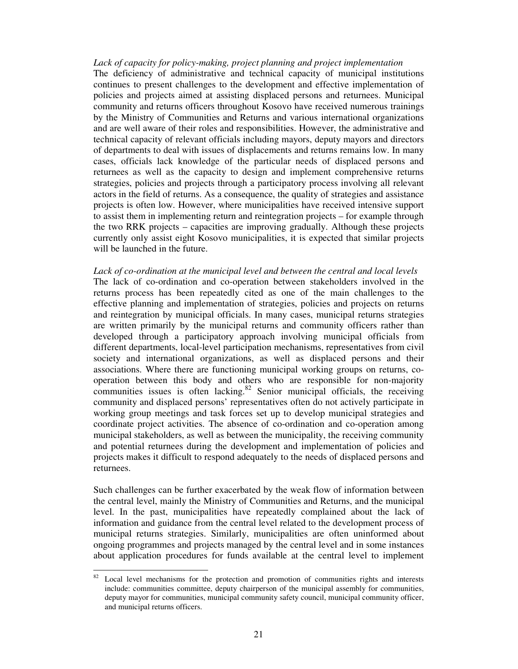*Lack of capacity for policy-making, project planning and project implementation*  The deficiency of administrative and technical capacity of municipal institutions continues to present challenges to the development and effective implementation of policies and projects aimed at assisting displaced persons and returnees. Municipal community and returns officers throughout Kosovo have received numerous trainings by the Ministry of Communities and Returns and various international organizations and are well aware of their roles and responsibilities. However, the administrative and technical capacity of relevant officials including mayors, deputy mayors and directors of departments to deal with issues of displacements and returns remains low. In many cases, officials lack knowledge of the particular needs of displaced persons and returnees as well as the capacity to design and implement comprehensive returns strategies, policies and projects through a participatory process involving all relevant actors in the field of returns. As a consequence, the quality of strategies and assistance projects is often low. However, where municipalities have received intensive support to assist them in implementing return and reintegration projects – for example through the two RRK projects – capacities are improving gradually. Although these projects currently only assist eight Kosovo municipalities, it is expected that similar projects will be launched in the future.

*Lack of co-ordination at the municipal level and between the central and local levels*  The lack of co-ordination and co-operation between stakeholders involved in the returns process has been repeatedly cited as one of the main challenges to the effective planning and implementation of strategies, policies and projects on returns and reintegration by municipal officials. In many cases, municipal returns strategies are written primarily by the municipal returns and community officers rather than developed through a participatory approach involving municipal officials from different departments, local-level participation mechanisms, representatives from civil society and international organizations, as well as displaced persons and their associations. Where there are functioning municipal working groups on returns, cooperation between this body and others who are responsible for non-majority communities issues is often lacking. $82$  Senior municipal officials, the receiving community and displaced persons' representatives often do not actively participate in working group meetings and task forces set up to develop municipal strategies and coordinate project activities. The absence of co-ordination and co-operation among municipal stakeholders, as well as between the municipality, the receiving community and potential returnees during the development and implementation of policies and projects makes it difficult to respond adequately to the needs of displaced persons and returnees.

Such challenges can be further exacerbated by the weak flow of information between the central level, mainly the Ministry of Communities and Returns, and the municipal level. In the past, municipalities have repeatedly complained about the lack of information and guidance from the central level related to the development process of municipal returns strategies. Similarly, municipalities are often uninformed about ongoing programmes and projects managed by the central level and in some instances about application procedures for funds available at the central level to implement

-

 $82$  Local level mechanisms for the protection and promotion of communities rights and interests include: communities committee, deputy chairperson of the municipal assembly for communities, deputy mayor for communities, municipal community safety council, municipal community officer, and municipal returns officers.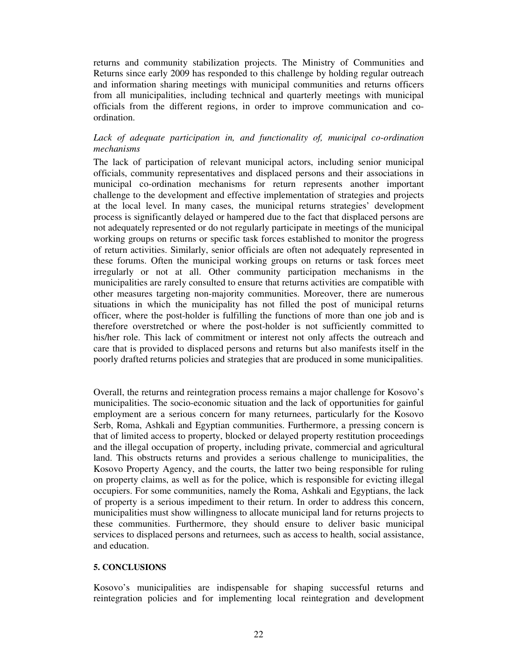returns and community stabilization projects. The Ministry of Communities and Returns since early 2009 has responded to this challenge by holding regular outreach and information sharing meetings with municipal communities and returns officers from all municipalities, including technical and quarterly meetings with municipal officials from the different regions, in order to improve communication and coordination.

# Lack of adequate participation in, and functionality of, municipal co-ordination *mechanisms*

The lack of participation of relevant municipal actors, including senior municipal officials, community representatives and displaced persons and their associations in municipal co-ordination mechanisms for return represents another important challenge to the development and effective implementation of strategies and projects at the local level. In many cases, the municipal returns strategies' development process is significantly delayed or hampered due to the fact that displaced persons are not adequately represented or do not regularly participate in meetings of the municipal working groups on returns or specific task forces established to monitor the progress of return activities. Similarly, senior officials are often not adequately represented in these forums. Often the municipal working groups on returns or task forces meet irregularly or not at all. Other community participation mechanisms in the municipalities are rarely consulted to ensure that returns activities are compatible with other measures targeting non-majority communities. Moreover, there are numerous situations in which the municipality has not filled the post of municipal returns officer, where the post-holder is fulfilling the functions of more than one job and is therefore overstretched or where the post-holder is not sufficiently committed to his/her role. This lack of commitment or interest not only affects the outreach and care that is provided to displaced persons and returns but also manifests itself in the poorly drafted returns policies and strategies that are produced in some municipalities.

Overall, the returns and reintegration process remains a major challenge for Kosovo's municipalities. The socio-economic situation and the lack of opportunities for gainful employment are a serious concern for many returnees, particularly for the Kosovo Serb, Roma, Ashkali and Egyptian communities. Furthermore, a pressing concern is that of limited access to property, blocked or delayed property restitution proceedings and the illegal occupation of property, including private, commercial and agricultural land. This obstructs returns and provides a serious challenge to municipalities, the Kosovo Property Agency, and the courts, the latter two being responsible for ruling on property claims, as well as for the police, which is responsible for evicting illegal occupiers. For some communities, namely the Roma, Ashkali and Egyptians, the lack of property is a serious impediment to their return. In order to address this concern, municipalities must show willingness to allocate municipal land for returns projects to these communities. Furthermore, they should ensure to deliver basic municipal services to displaced persons and returnees, such as access to health, social assistance, and education.

# **5. CONCLUSIONS**

Kosovo's municipalities are indispensable for shaping successful returns and reintegration policies and for implementing local reintegration and development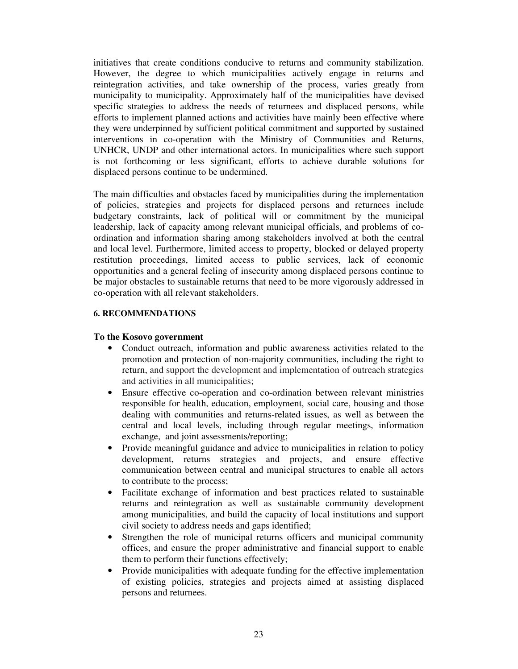initiatives that create conditions conducive to returns and community stabilization. However, the degree to which municipalities actively engage in returns and reintegration activities, and take ownership of the process, varies greatly from municipality to municipality. Approximately half of the municipalities have devised specific strategies to address the needs of returnees and displaced persons, while efforts to implement planned actions and activities have mainly been effective where they were underpinned by sufficient political commitment and supported by sustained interventions in co-operation with the Ministry of Communities and Returns, UNHCR, UNDP and other international actors. In municipalities where such support is not forthcoming or less significant, efforts to achieve durable solutions for displaced persons continue to be undermined.

The main difficulties and obstacles faced by municipalities during the implementation of policies, strategies and projects for displaced persons and returnees include budgetary constraints, lack of political will or commitment by the municipal leadership, lack of capacity among relevant municipal officials, and problems of coordination and information sharing among stakeholders involved at both the central and local level. Furthermore, limited access to property, blocked or delayed property restitution proceedings, limited access to public services, lack of economic opportunities and a general feeling of insecurity among displaced persons continue to be major obstacles to sustainable returns that need to be more vigorously addressed in co-operation with all relevant stakeholders.

#### **6. RECOMMENDATIONS**

#### **To the Kosovo government**

- Conduct outreach, information and public awareness activities related to the promotion and protection of non-majority communities, including the right to return, and support the development and implementation of outreach strategies and activities in all municipalities;
- Ensure effective co-operation and co-ordination between relevant ministries responsible for health, education, employment, social care, housing and those dealing with communities and returns-related issues, as well as between the central and local levels, including through regular meetings, information exchange, and joint assessments/reporting;
- Provide meaningful guidance and advice to municipalities in relation to policy development, returns strategies and projects, and ensure effective communication between central and municipal structures to enable all actors to contribute to the process;
- Facilitate exchange of information and best practices related to sustainable returns and reintegration as well as sustainable community development among municipalities, and build the capacity of local institutions and support civil society to address needs and gaps identified;
- Strengthen the role of municipal returns officers and municipal community offices, and ensure the proper administrative and financial support to enable them to perform their functions effectively;
- Provide municipalities with adequate funding for the effective implementation of existing policies, strategies and projects aimed at assisting displaced persons and returnees.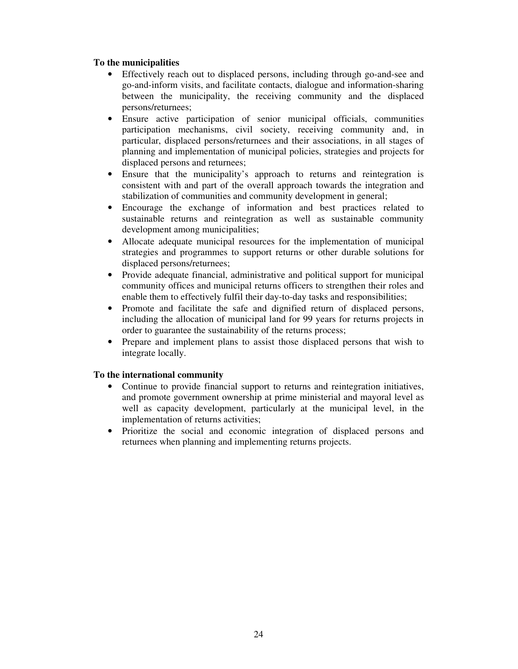# **To the municipalities**

- Effectively reach out to displaced persons, including through go-and-see and go-and-inform visits, and facilitate contacts, dialogue and information-sharing between the municipality, the receiving community and the displaced persons/returnees;
- Ensure active participation of senior municipal officials, communities participation mechanisms, civil society, receiving community and, in particular, displaced persons/returnees and their associations, in all stages of planning and implementation of municipal policies, strategies and projects for displaced persons and returnees;
- Ensure that the municipality's approach to returns and reintegration is consistent with and part of the overall approach towards the integration and stabilization of communities and community development in general;
- Encourage the exchange of information and best practices related to sustainable returns and reintegration as well as sustainable community development among municipalities;
- Allocate adequate municipal resources for the implementation of municipal strategies and programmes to support returns or other durable solutions for displaced persons/returnees;
- Provide adequate financial, administrative and political support for municipal community offices and municipal returns officers to strengthen their roles and enable them to effectively fulfil their day-to-day tasks and responsibilities;
- Promote and facilitate the safe and dignified return of displaced persons, including the allocation of municipal land for 99 years for returns projects in order to guarantee the sustainability of the returns process;
- Prepare and implement plans to assist those displaced persons that wish to integrate locally.

## **To the international community**

- Continue to provide financial support to returns and reintegration initiatives, and promote government ownership at prime ministerial and mayoral level as well as capacity development, particularly at the municipal level, in the implementation of returns activities;
- Prioritize the social and economic integration of displaced persons and returnees when planning and implementing returns projects.